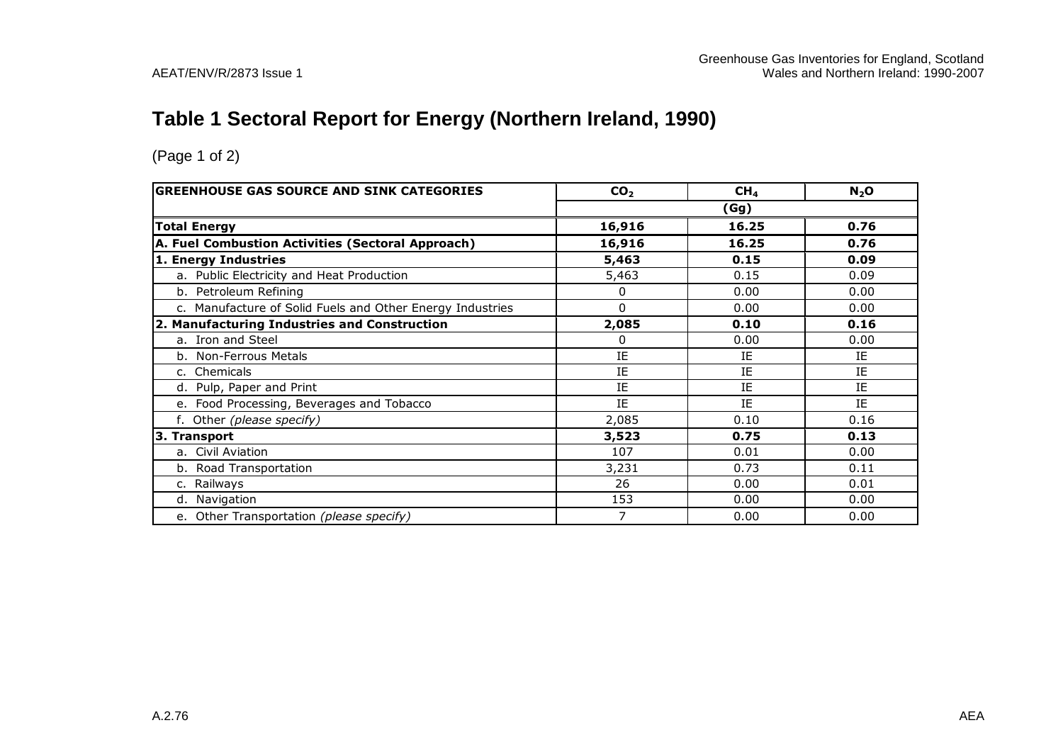#### **Table 1 Sectoral Report for Energy (Northern Ireland, 1990)**

| <b>GREENHOUSE GAS SOURCE AND SINK CATEGORIES</b>          | CO <sub>2</sub> | CH <sub>4</sub> | $N_2$ O |
|-----------------------------------------------------------|-----------------|-----------------|---------|
|                                                           |                 | (Gg)            |         |
| <b>Total Energy</b>                                       | 16,916          | 16.25           | 0.76    |
| A. Fuel Combustion Activities (Sectoral Approach)         | 16,916          | 16.25           | 0.76    |
| 1. Energy Industries                                      | 5,463           | 0.15            | 0.09    |
| a. Public Electricity and Heat Production                 | 5,463           | 0.15            | 0.09    |
| b. Petroleum Refining                                     | 0               | 0.00            | 0.00    |
| c. Manufacture of Solid Fuels and Other Energy Industries | 0               | 0.00            | 0.00    |
| 2. Manufacturing Industries and Construction              | 2,085           | 0.10            | 0.16    |
| a. Iron and Steel                                         | 0               | 0.00            | 0.00    |
| b. Non-Ferrous Metals                                     | IE              | IE              | IE      |
| c. Chemicals                                              | IE              | IE              | IE      |
| d. Pulp, Paper and Print                                  | IE              | IE              | IE      |
| Food Processing, Beverages and Tobacco<br>$e_{1}$         | IE              | IE              | IE      |
| f. Other (please specify)                                 | 2,085           | 0.10            | 0.16    |
| 3. Transport                                              | 3,523           | 0.75            | 0.13    |
| a. Civil Aviation                                         | 107             | 0.01            | 0.00    |
| b. Road Transportation                                    | 3,231           | 0.73            | 0.11    |
| c. Railways                                               | 26              | 0.00            | 0.01    |
| d. Navigation                                             | 153             | 0.00            | 0.00    |
| e. Other Transportation (please specify)                  | 7               | 0.00            | 0.00    |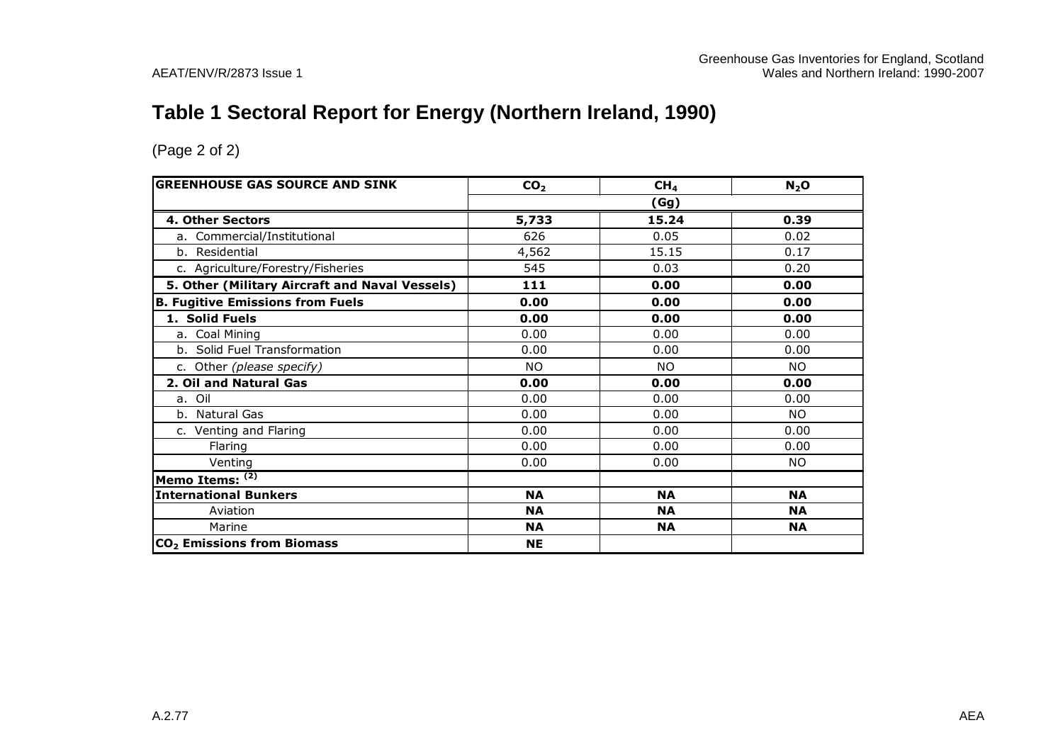# **Table 1 Sectoral Report for Energy (Northern Ireland, 1990)**

| <b>GREENHOUSE GAS SOURCE AND SINK</b>          | CO <sub>2</sub> | CH <sub>4</sub> | N <sub>2</sub> O |  |  |
|------------------------------------------------|-----------------|-----------------|------------------|--|--|
|                                                | (Gg)            |                 |                  |  |  |
| 4. Other Sectors                               | 5,733           | 15.24           | 0.39             |  |  |
| a. Commercial/Institutional                    | 626             | 0.05            | 0.02             |  |  |
| b. Residential                                 | 4,562           | 15.15           | 0.17             |  |  |
| c. Agriculture/Forestry/Fisheries              | 545             | 0.03            | 0.20             |  |  |
| 5. Other (Military Aircraft and Naval Vessels) | 111             | 0.00            | 0.00             |  |  |
| <b>B. Fugitive Emissions from Fuels</b>        | 0.00            | 0.00            | 0.00             |  |  |
| 1. Solid Fuels                                 | 0.00            | 0.00            | 0.00             |  |  |
| a. Coal Mining                                 | 0.00            | 0.00            | 0.00             |  |  |
| b. Solid Fuel Transformation                   | 0.00            | 0.00            | 0.00             |  |  |
| c. Other (please specify)                      | <b>NO</b>       | <b>NO</b>       | <b>NO</b>        |  |  |
| 2. Oil and Natural Gas                         | 0.00            | 0.00            | 0.00             |  |  |
| a. Oil                                         | 0.00            | 0.00            | 0.00             |  |  |
| b. Natural Gas                                 | 0.00            | 0.00            | <b>NO</b>        |  |  |
| c. Venting and Flaring                         | 0.00            | 0.00            | 0.00             |  |  |
| Flaring                                        | 0.00            | 0.00            | 0.00             |  |  |
| Venting                                        | 0.00            | 0.00            | NO.              |  |  |
| Memo Items: (2)                                |                 |                 |                  |  |  |
| <b>International Bunkers</b>                   | <b>NA</b>       | <b>NA</b>       | <b>NA</b>        |  |  |
| Aviation                                       | <b>NA</b>       | <b>NA</b>       | <b>NA</b>        |  |  |
| Marine                                         | <b>NA</b>       | <b>NA</b>       | <b>NA</b>        |  |  |
| CO <sub>2</sub> Emissions from Biomass         | <b>NE</b>       |                 |                  |  |  |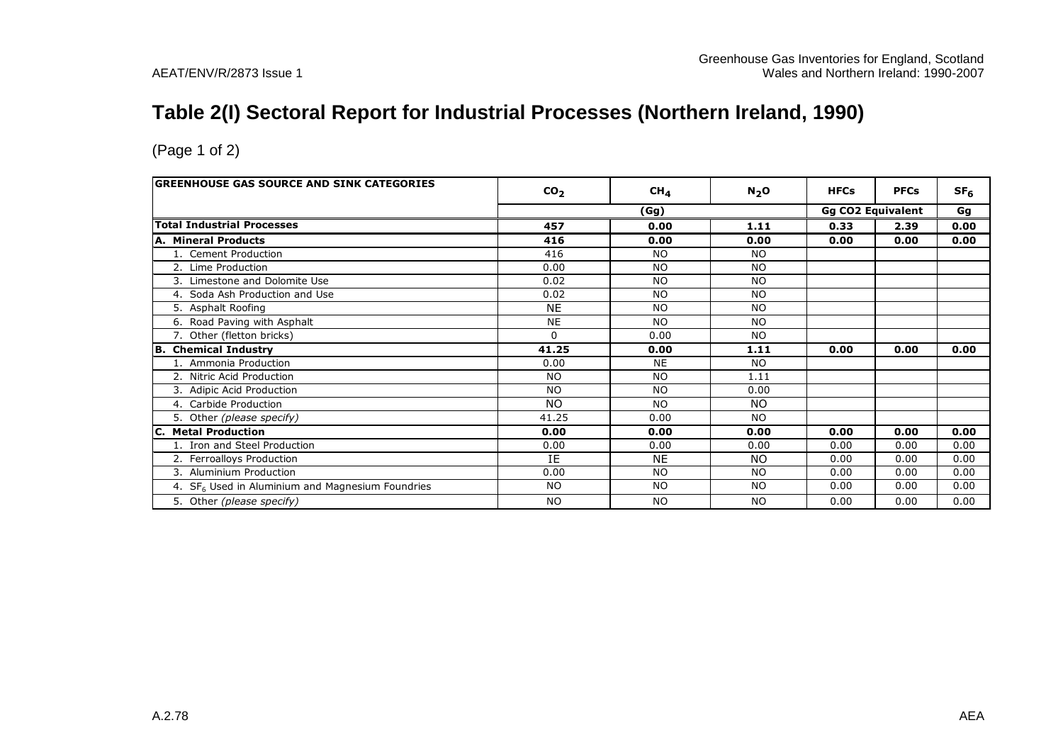# **Table 2(I) Sectoral Report for Industrial Processes (Northern Ireland, 1990)**

| <b>GREENHOUSE GAS SOURCE AND SINK CATEGORIES</b>   | CO <sub>2</sub> | CH <sub>4</sub> | N <sub>2</sub> O | <b>HFCs</b> | <b>PFCs</b>              | SF <sub>6</sub> |  |
|----------------------------------------------------|-----------------|-----------------|------------------|-------------|--------------------------|-----------------|--|
|                                                    |                 |                 |                  |             | <b>Gg CO2 Equivalent</b> | Gg              |  |
|                                                    |                 | (Gg)            |                  |             |                          |                 |  |
| <b>Total Industrial Processes</b>                  | 457             | 0.00            | 1.11             | 0.33        | 2.39                     | 0.00            |  |
| A. Mineral Products                                | 416             | 0.00            | 0.00             | 0.00        | 0.00                     | 0.00            |  |
| 1. Cement Production                               | 416             | NO.             | <b>NO</b>        |             |                          |                 |  |
| 2. Lime Production                                 | 0.00            | N <sub>O</sub>  | <b>NO</b>        |             |                          |                 |  |
| 3. Limestone and Dolomite Use                      | 0.02            | N <sub>O</sub>  | <b>NO</b>        |             |                          |                 |  |
| 4. Soda Ash Production and Use                     | 0.02            | N <sub>O</sub>  | <b>NO</b>        |             |                          |                 |  |
| 5. Asphalt Roofing                                 | <b>NE</b>       | <b>NO</b>       | <b>NO</b>        |             |                          |                 |  |
| 6. Road Paving with Asphalt                        | <b>NE</b>       | N <sub>O</sub>  | <b>NO</b>        |             |                          |                 |  |
| 7. Other (fletton bricks)                          | $\Omega$        | 0.00            | <b>NO</b>        |             |                          |                 |  |
| B. Chemical Industry                               | 41.25           | 0.00            | 1.11             | 0.00        | 0.00                     | 0.00            |  |
| 1. Ammonia Production                              | 0.00            | <b>NE</b>       | <b>NO</b>        |             |                          |                 |  |
| 2. Nitric Acid Production                          | <b>NO</b>       | N <sub>O</sub>  | 1.11             |             |                          |                 |  |
| 3. Adipic Acid Production                          | <b>NO</b>       | N <sub>O</sub>  | 0.00             |             |                          |                 |  |
| 4. Carbide Production                              | <b>NO</b>       | N <sub>O</sub>  | NO.              |             |                          |                 |  |
| 5. Other (please specify)                          | 41.25           | 0.00            | <b>NO</b>        |             |                          |                 |  |
| <b>C. Metal Production</b>                         | 0.00            | 0.00            | 0.00             | 0.00        | 0.00                     | 0.00            |  |
| 1. Iron and Steel Production                       | 0.00            | 0.00            | 0.00             | 0.00        | 0.00                     | 0.00            |  |
| 2. Ferroalloys Production                          | IE              | <b>NE</b>       | NO.              | 0.00        | 0.00                     | 0.00            |  |
| Aluminium Production<br>3.                         | 0.00            | N <sub>O</sub>  | <b>NO</b>        | 0.00        | 0.00                     | 0.00            |  |
| 4. $SF6$ Used in Aluminium and Magnesium Foundries | <b>NO</b>       | <b>NO</b>       | <b>NO</b>        | 0.00        | 0.00                     | 0.00            |  |
| 5. Other (please specify)                          | <b>NO</b>       | <b>NO</b>       | <b>NO</b>        | 0.00        | 0.00                     | 0.00            |  |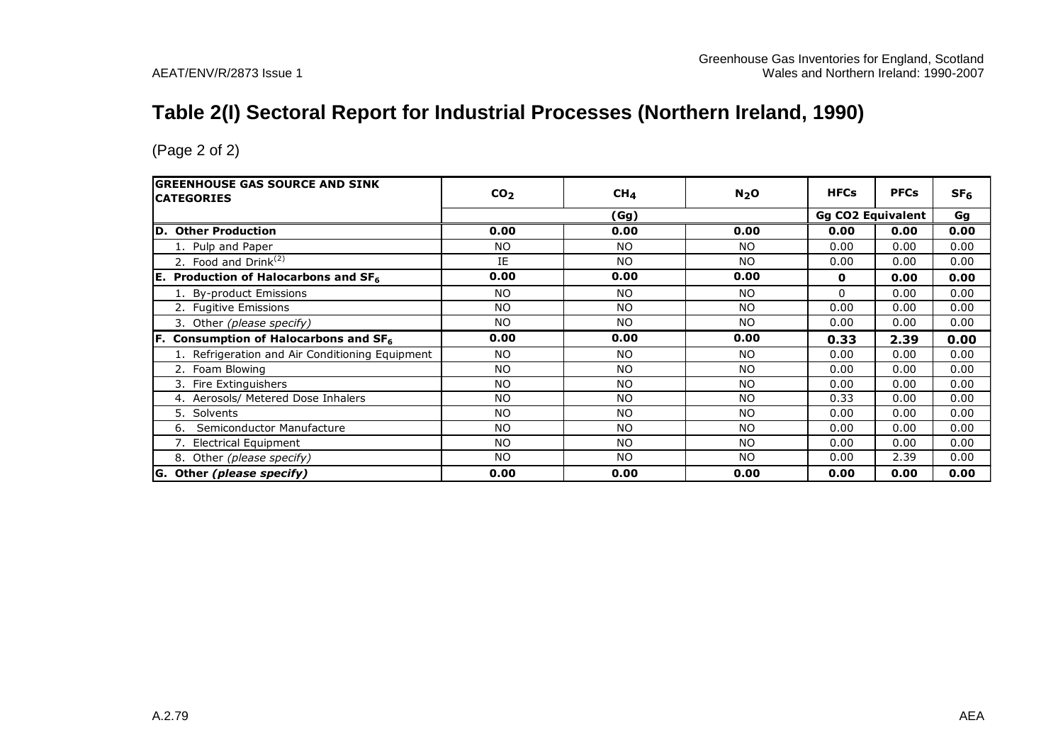# **Table 2(I) Sectoral Report for Industrial Processes (Northern Ireland, 1990)**

| <b>GREENHOUSE GAS SOURCE AND SINK</b><br><b>CATEGORIES</b> | CO <sub>2</sub> | CH <sub>4</sub> | $N_2$ O        | <b>HFCs</b>              | <b>PFCs</b> | SF <sub>6</sub> |
|------------------------------------------------------------|-----------------|-----------------|----------------|--------------------------|-------------|-----------------|
|                                                            | (Gg)            |                 |                | <b>Gg CO2 Equivalent</b> | Gg          |                 |
| D. Other Production                                        | 0.00            | 0.00            | 0.00           | 0.00                     | 0.00        | 0.00            |
| 1. Pulp and Paper                                          | <b>NO</b>       | NO.             | <b>NO</b>      | 0.00                     | 0.00        | 0.00            |
| 2. Food and Drink <sup>(2)</sup>                           | IE              | NO.             | NO             | 0.00                     | 0.00        | 0.00            |
| <b>E.</b> Production of Halocarbons and $SF_6$             | 0.00            | 0.00            | 0.00           | 0                        | 0.00        | 0.00            |
| 1. By-product Emissions                                    | <b>NO</b>       | <b>NO</b>       | <b>NO</b>      | 0                        | 0.00        | 0.00            |
| 2. Fugitive Emissions                                      | <b>NO</b>       | <b>NO</b>       | NO             | 0.00                     | 0.00        | 0.00            |
| 3. Other (please specify)                                  | <b>NO</b>       | NO.             | NO.            | 0.00                     | 0.00        | 0.00            |
| $ F.$ Consumption of Halocarbons and SF <sub>6</sub>       | 0.00            | 0.00            | 0.00           | 0.33                     | 2.39        | 0.00            |
| 1. Refrigeration and Air Conditioning Equipment            | <b>NO</b>       | NO.             | NO.            | 0.00                     | 0.00        | 0.00            |
| 2. Foam Blowing                                            | <b>NO</b>       | <b>NO</b>       | <b>NO</b>      | 0.00                     | 0.00        | 0.00            |
| 3. Fire Extinguishers                                      | <b>NO</b>       | NO.             | N <sub>O</sub> | 0.00                     | 0.00        | 0.00            |
| 4. Aerosols/ Metered Dose Inhalers                         | <b>NO</b>       | <b>NO</b>       | N <sub>O</sub> | 0.33                     | 0.00        | 0.00            |
| 5. Solvents                                                | <b>NO</b>       | <b>NO</b>       | N <sub>O</sub> | 0.00                     | 0.00        | 0.00            |
| Semiconductor Manufacture<br>6.                            | <b>NO</b>       | NO.             | NO.            | 0.00                     | 0.00        | 0.00            |
| 7. Electrical Equipment                                    | <b>NO</b>       | NO.             | NO             | 0.00                     | 0.00        | 0.00            |
| 8. Other (please specify)                                  | <b>NO</b>       | NO.             | NO.            | 0.00                     | 2.39        | 0.00            |
| G. Other (please specify)                                  | 0.00            | 0.00            | 0.00           | 0.00                     | 0.00        | 0.00            |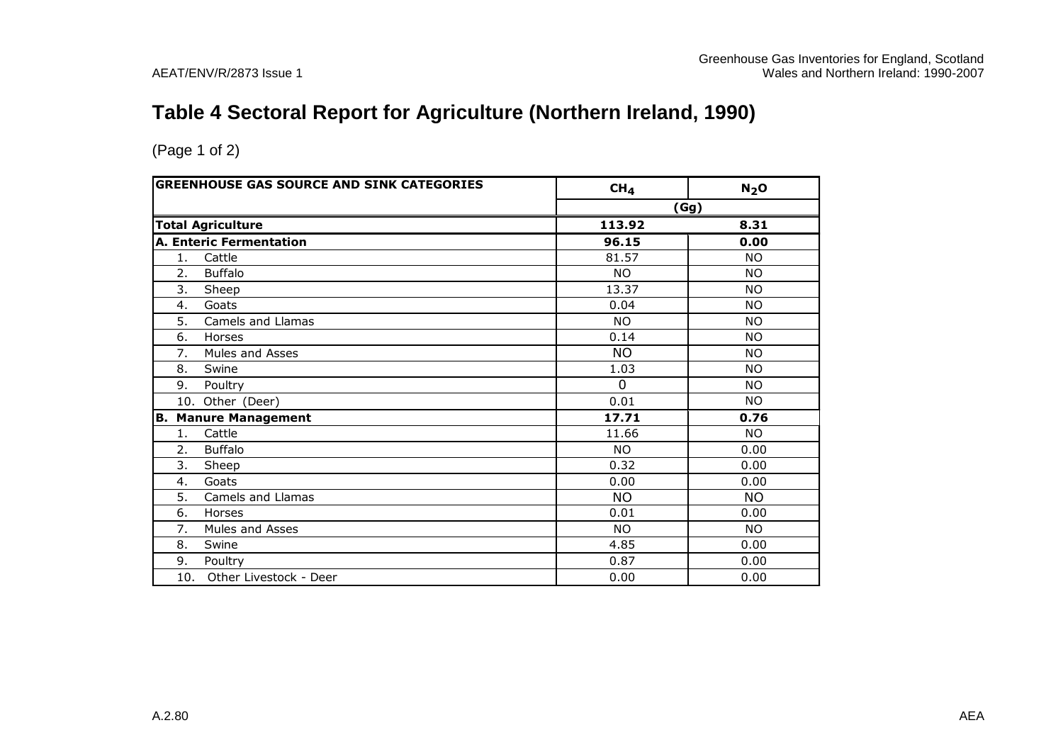# **Table 4 Sectoral Report for Agriculture (Northern Ireland, 1990)**

| <b>GREENHOUSE GAS SOURCE AND SINK CATEGORIES</b> | CH <sub>4</sub> | N <sub>2</sub> O |
|--------------------------------------------------|-----------------|------------------|
|                                                  |                 | (Gg)             |
| <b>Total Agriculture</b>                         | 113.92          | 8.31             |
| A. Enteric Fermentation                          | 96.15           | 0.00             |
| Cattle<br>1.                                     | 81.57           | <b>NO</b>        |
| 2.<br><b>Buffalo</b>                             | <b>NO</b>       | <b>NO</b>        |
| 3.<br>Sheep                                      | 13.37           | <b>NO</b>        |
| 4.<br>Goats                                      | 0.04            | <b>NO</b>        |
| 5.<br>Camels and Llamas                          | <b>NO</b>       | <b>NO</b>        |
| 6.<br>Horses                                     | 0.14            | <b>NO</b>        |
| 7.<br>Mules and Asses                            | <b>NO</b>       | <b>NO</b>        |
| 8.<br>Swine                                      | 1.03            | <b>NO</b>        |
| 9.<br>Poultry                                    | $\Omega$        | <b>NO</b>        |
| 10. Other (Deer)                                 | 0.01            | <b>NO</b>        |
| <b>Manure Management</b><br>B.                   | 17.71           | 0.76             |
| Cattle<br>1.                                     | 11.66           | <b>NO</b>        |
| 2.<br><b>Buffalo</b>                             | <b>NO</b>       | 0.00             |
| 3.<br>Sheep                                      | 0.32            | 0.00             |
| 4.<br>Goats                                      | 0.00            | 0.00             |
| 5.<br>Camels and Llamas                          | <b>NO</b>       | <b>NO</b>        |
| 6.<br>Horses                                     | 0.01            | 0.00             |
| 7.<br>Mules and Asses                            | <b>NO</b>       | <b>NO</b>        |
| 8.<br>Swine                                      | 4.85            | 0.00             |
| 9.<br>Poultry                                    | 0.87            | 0.00             |
| Other Livestock - Deer<br>10.                    | 0.00            | 0.00             |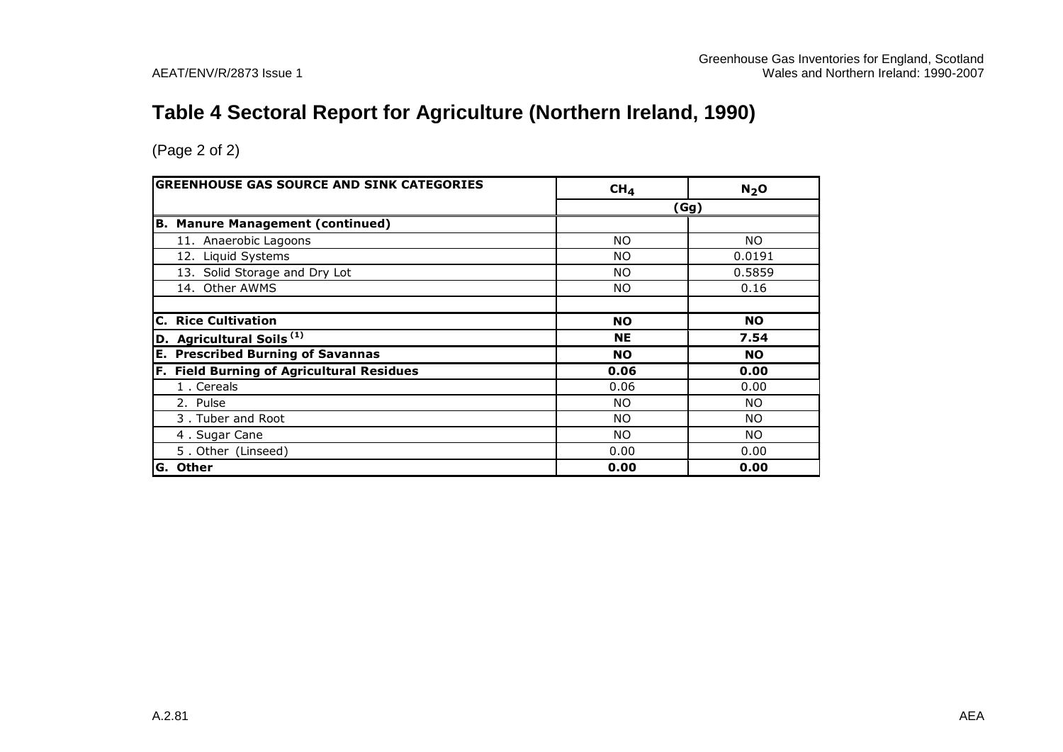# **Table 4 Sectoral Report for Agriculture (Northern Ireland, 1990)**

| <b>GREENHOUSE GAS SOURCE AND SINK CATEGORIES</b> | CH <sub>4</sub> | N <sub>2</sub> O |
|--------------------------------------------------|-----------------|------------------|
|                                                  |                 | (Gg)             |
| <b>B. Manure Management (continued)</b>          |                 |                  |
| 11. Anaerobic Lagoons                            | <b>NO</b>       | NO.              |
| 12. Liquid Systems                               | NO.             | 0.0191           |
| 13. Solid Storage and Dry Lot                    | <b>NO</b>       | 0.5859           |
| 14. Other AWMS                                   | <b>NO</b>       | 0.16             |
|                                                  |                 |                  |
| <b>Rice Cultivation</b><br>C.                    | <b>NO</b>       | <b>NO</b>        |
| D. Agricultural Soils <sup>(1)</sup>             | <b>NE</b>       | 7.54             |
| <b>E. Prescribed Burning of Savannas</b>         | <b>NO</b>       | <b>NO</b>        |
| F. Field Burning of Agricultural Residues        | 0.06            | 0.00             |
| 1. Cereals                                       | 0.06            | 0.00             |
| 2. Pulse                                         | NO.             | NO.              |
| 3. Tuber and Root                                | NO.             | NO.              |
| 4. Sugar Cane                                    | NO.             | NO.              |
| 5. Other (Linseed)                               | 0.00            | 0.00             |
| G. Other                                         | 0.00            | 0.00             |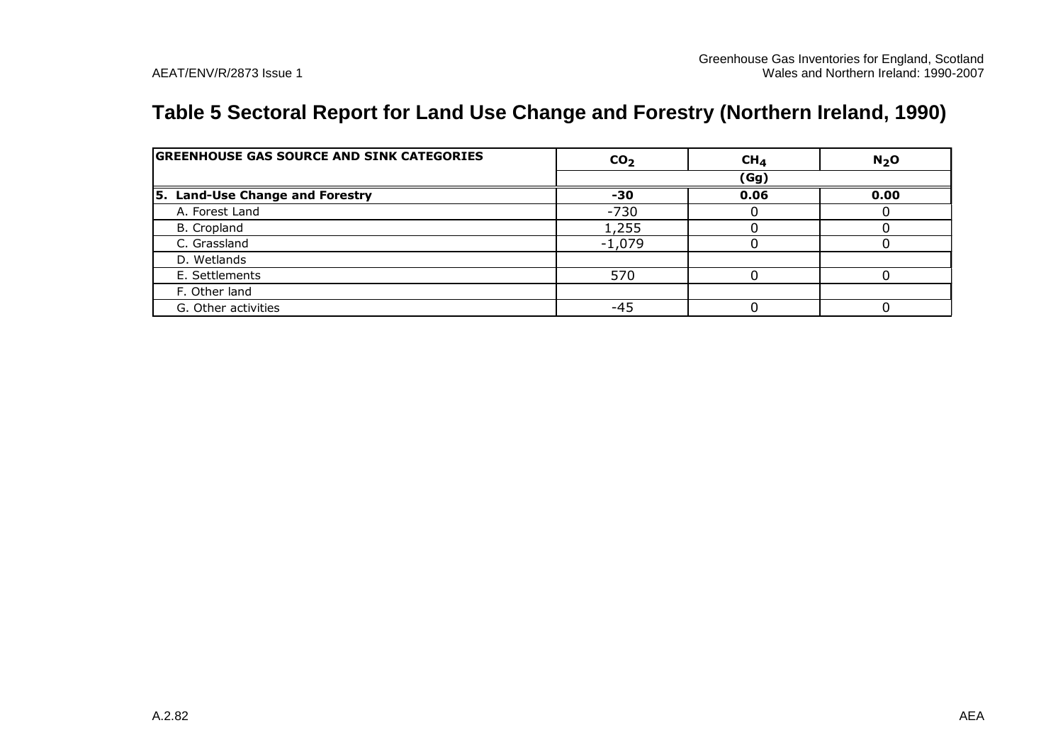# **Table 5 Sectoral Report for Land Use Change and Forestry (Northern Ireland, 1990)**

| <b>GREENHOUSE GAS SOURCE AND SINK CATEGORIES</b> | CO <sub>2</sub> | CH <sub>4</sub> | N <sub>2</sub> O |
|--------------------------------------------------|-----------------|-----------------|------------------|
|                                                  |                 | (Gg)            |                  |
| 5. Land-Use Change and Forestry                  | -30             | 0.06            | 0.00             |
| A. Forest Land                                   | $-730$          |                 |                  |
| B. Cropland                                      | 1,255           |                 |                  |
| C. Grassland                                     | $-1,079$        |                 |                  |
| D. Wetlands                                      |                 |                 |                  |
| E. Settlements                                   | 570             |                 |                  |
| F. Other land                                    |                 |                 |                  |
| G. Other activities                              | -45             |                 |                  |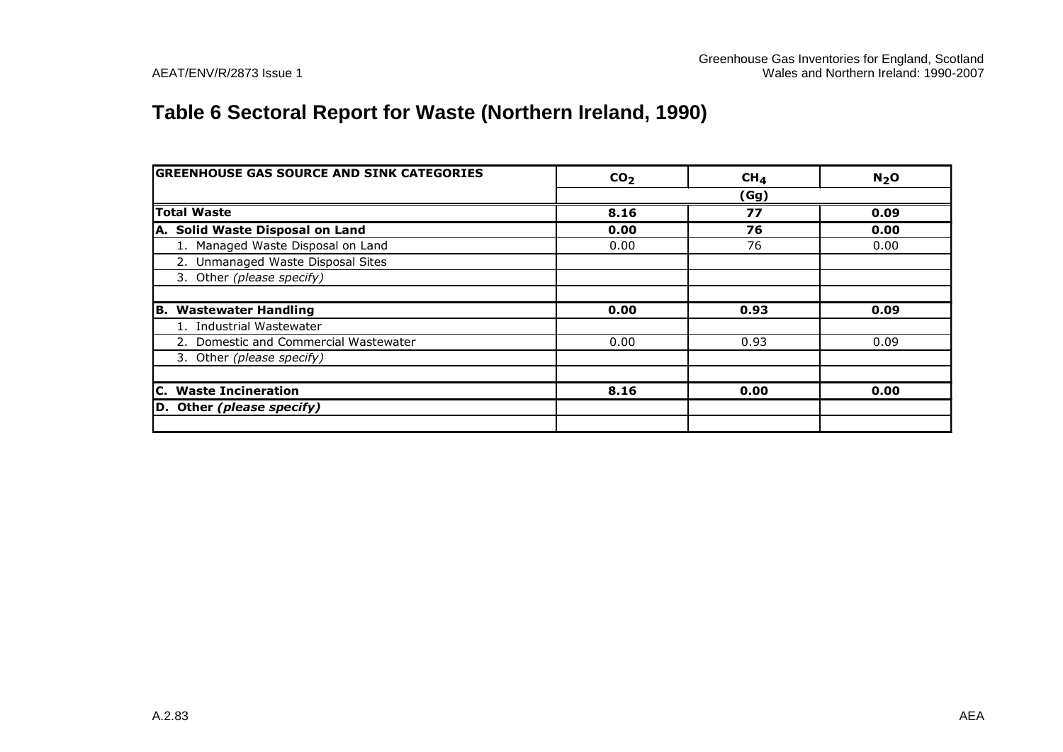# **Table 6 Sectoral Report for Waste (Northern Ireland, 1990)**

| <b>GREENHOUSE GAS SOURCE AND SINK CATEGORIES</b> | CO <sub>2</sub> | CH <sub>4</sub> | $N2$ O |
|--------------------------------------------------|-----------------|-----------------|--------|
|                                                  |                 | (Gg)            |        |
| <b>Total Waste</b>                               | 8.16            | 77              | 0.09   |
| A. Solid Waste Disposal on Land                  | 0.00            | 76              | 0.00   |
| 1. Managed Waste Disposal on Land                | 0.00            | 76              | 0.00   |
| 2. Unmanaged Waste Disposal Sites                |                 |                 |        |
| 3. Other (please specify)                        |                 |                 |        |
|                                                  |                 |                 |        |
| IB.<br><b>Wastewater Handling</b>                | 0.00            | 0.93            | 0.09   |
| 1. Industrial Wastewater                         |                 |                 |        |
| 2. Domestic and Commercial Wastewater            | 0.00            | 0.93            | 0.09   |
| 3. Other (please specify)                        |                 |                 |        |
|                                                  |                 |                 |        |
| C. Waste Incineration                            | 8.16            | 0.00            | 0.00   |
| D. Other (please specify)                        |                 |                 |        |
|                                                  |                 |                 |        |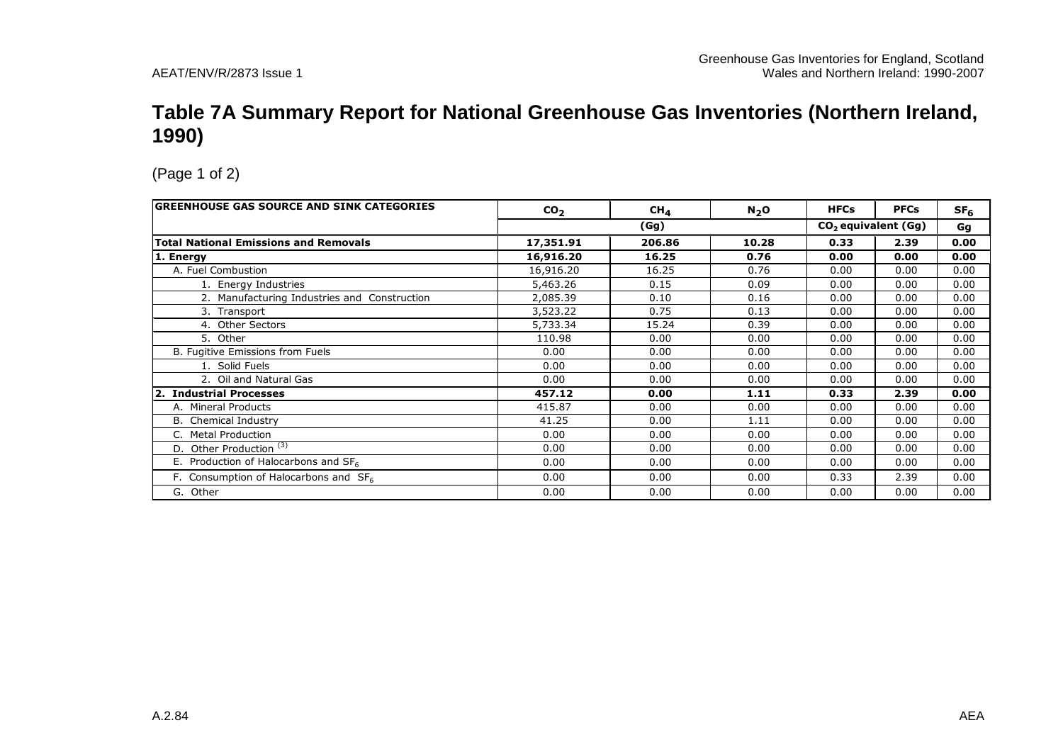#### **Table 7A Summary Report for National Greenhouse Gas Inventories (Northern Ireland, 1990)**

| <b>GREENHOUSE GAS SOURCE AND SINK CATEGORIES</b> | CO <sub>2</sub> | CH <sub>4</sub> | $N_2$ O | <b>HFCs</b> | <b>PFCs</b>           | SF <sub>6</sub> |  |
|--------------------------------------------------|-----------------|-----------------|---------|-------------|-----------------------|-----------------|--|
|                                                  |                 | (Gg)            |         |             | $CO2$ equivalent (Gg) |                 |  |
| <b>Total National Emissions and Removals</b>     | 17,351.91       | 206.86          | 10.28   | 0.33        | 2.39                  | 0.00            |  |
| 1. Energy                                        | 16,916.20       | 16.25           | 0.76    | 0.00        | 0.00                  | 0.00            |  |
| A. Fuel Combustion                               | 16,916.20       | 16.25           | 0.76    | 0.00        | 0.00                  | 0.00            |  |
| 1. Energy Industries                             | 5,463.26        | 0.15            | 0.09    | 0.00        | 0.00                  | 0.00            |  |
| 2. Manufacturing Industries and Construction     | 2,085.39        | 0.10            | 0.16    | 0.00        | 0.00                  | 0.00            |  |
| 3. Transport                                     | 3,523.22        | 0.75            | 0.13    | 0.00        | 0.00                  | 0.00            |  |
| 4. Other Sectors                                 | 5,733.34        | 15.24           | 0.39    | 0.00        | 0.00                  | 0.00            |  |
| 5. Other                                         | 110.98          | 0.00            | 0.00    | 0.00        | 0.00                  | 0.00            |  |
| B. Fugitive Emissions from Fuels                 | 0.00            | 0.00            | 0.00    | 0.00        | 0.00                  | 0.00            |  |
| 1. Solid Fuels                                   | 0.00            | 0.00            | 0.00    | 0.00        | 0.00                  | 0.00            |  |
| 2. Oil and Natural Gas                           | 0.00            | 0.00            | 0.00    | 0.00        | 0.00                  | 0.00            |  |
| 2. Industrial Processes                          | 457.12          | 0.00            | 1.11    | 0.33        | 2.39                  | 0.00            |  |
| A. Mineral Products                              | 415.87          | 0.00            | 0.00    | 0.00        | 0.00                  | 0.00            |  |
| <b>B.</b> Chemical Industry                      | 41.25           | 0.00            | 1.11    | 0.00        | 0.00                  | 0.00            |  |
| <b>Metal Production</b>                          | 0.00            | 0.00            | 0.00    | 0.00        | 0.00                  | 0.00            |  |
| D. Other Production <sup>(3)</sup>               | 0.00            | 0.00            | 0.00    | 0.00        | 0.00                  | 0.00            |  |
| E. Production of Halocarbons and $SF6$           | 0.00            | 0.00            | 0.00    | 0.00        | 0.00                  | 0.00            |  |
| F. Consumption of Halocarbons and $SF6$          | 0.00            | 0.00            | 0.00    | 0.33        | 2.39                  | 0.00            |  |
| G. Other                                         | 0.00            | 0.00            | 0.00    | 0.00        | 0.00                  | 0.00            |  |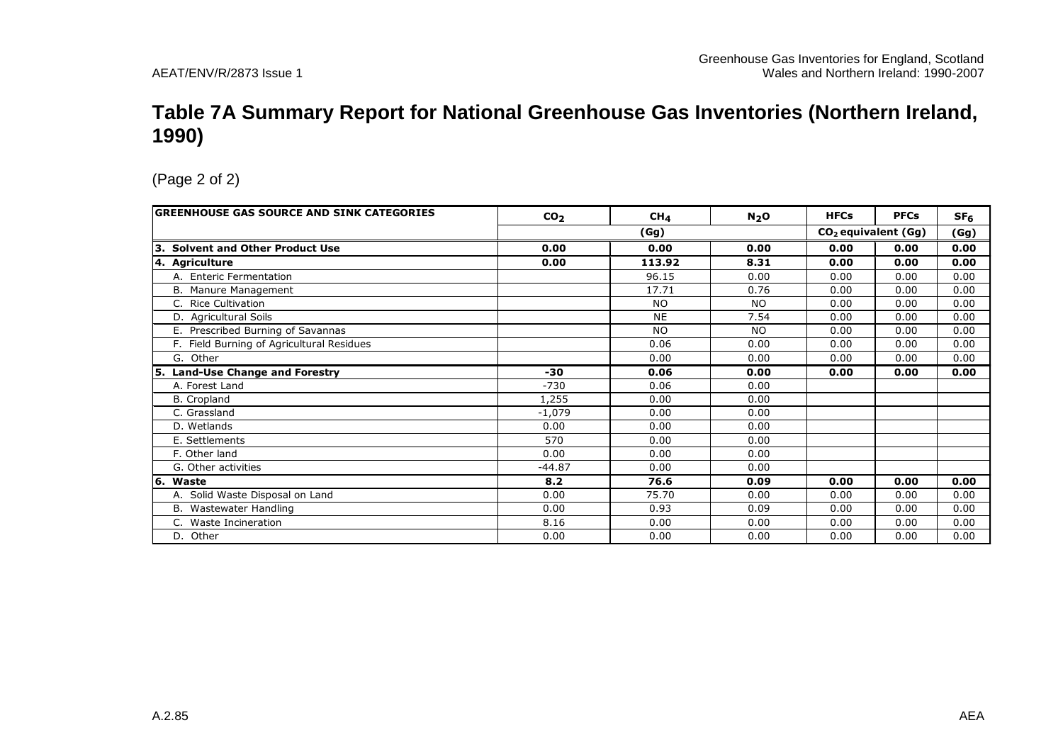#### **Table 7A Summary Report for National Greenhouse Gas Inventories (Northern Ireland, 1990)**

| GREENHOUSE GAS SOURCE AND SINK CATEGORIES   | CO <sub>2</sub> | CH <sub>4</sub> | N <sub>2</sub> O | <b>HFCs</b>           | <b>PFCs</b> | SF <sub>6</sub> |
|---------------------------------------------|-----------------|-----------------|------------------|-----------------------|-------------|-----------------|
|                                             |                 | (Gg)            |                  | $CO2$ equivalent (Gg) |             | (Gg)            |
| <b>Solvent and Other Product Use</b><br>l3. | 0.00            | 0.00            | 0.00             | 0.00                  | 0.00        | 0.00            |
| 4. Agriculture                              | 0.00            | 113.92          | 8.31             | 0.00                  | 0.00        | 0.00            |
| A. Enteric Fermentation                     |                 | 96.15           | 0.00             | 0.00                  | 0.00        | 0.00            |
| B. Manure Management                        |                 | 17.71           | 0.76             | 0.00                  | 0.00        | 0.00            |
| C. Rice Cultivation                         |                 | N <sub>O</sub>  | <b>NO</b>        | 0.00                  | 0.00        | 0.00            |
| D. Agricultural Soils                       |                 | <b>NE</b>       | 7.54             | 0.00                  | 0.00        | 0.00            |
| E. Prescribed Burning of Savannas           |                 | <b>NO</b>       | <b>NO</b>        | 0.00                  | 0.00        | 0.00            |
| F. Field Burning of Agricultural Residues   |                 | 0.06            | 0.00             | 0.00                  | 0.00        | 0.00            |
| G. Other                                    |                 | 0.00            | 0.00             | 0.00                  | 0.00        | 0.00            |
| 5. Land-Use Change and Forestry             | -30             | 0.06            | 0.00             | 0.00                  | 0.00        | 0.00            |
| A. Forest Land                              | $-730$          | 0.06            | 0.00             |                       |             |                 |
| <b>B.</b> Cropland                          | 1,255           | 0.00            | 0.00             |                       |             |                 |
| C. Grassland                                | $-1.079$        | 0.00            | 0.00             |                       |             |                 |
| D. Wetlands                                 | 0.00            | 0.00            | 0.00             |                       |             |                 |
| E. Settlements                              | 570             | 0.00            | 0.00             |                       |             |                 |
| F. Other land                               | 0.00            | 0.00            | 0.00             |                       |             |                 |
| G. Other activities                         | $-44.87$        | 0.00            | 0.00             |                       |             |                 |
| 6. Waste                                    | 8.2             | 76.6            | 0.09             | 0.00                  | 0.00        | 0.00            |
| A. Solid Waste Disposal on Land             | 0.00            | 75.70           | 0.00             | 0.00                  | 0.00        | 0.00            |
| B. Wastewater Handling                      | 0.00            | 0.93            | 0.09             | 0.00                  | 0.00        | 0.00            |
| Waste Incineration<br>C.                    | 8.16            | 0.00            | 0.00             | 0.00                  | 0.00        | 0.00            |
|                                             |                 |                 |                  |                       |             | 0.00            |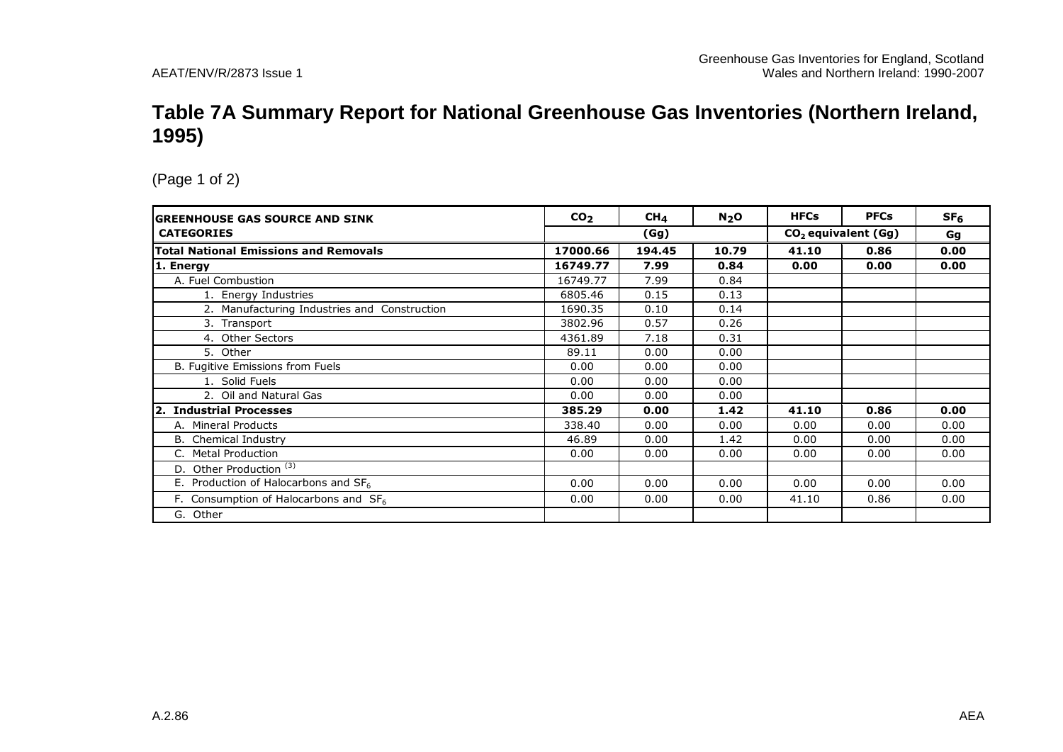#### **Table 7A Summary Report for National Greenhouse Gas Inventories (Northern Ireland, 1995)**

| <b>GREENHOUSE GAS SOURCE AND SINK</b>        | CO <sub>2</sub> | CH <sub>4</sub> | $N2$ O | <b>HFCs</b>                     | <b>PFCs</b> | SF <sub>6</sub> |
|----------------------------------------------|-----------------|-----------------|--------|---------------------------------|-------------|-----------------|
| <b>CATEGORIES</b>                            |                 | (Gg)            |        | CO <sub>2</sub> equivalent (Gg) | Gg          |                 |
| <b>Total National Emissions and Removals</b> | 17000.66        | 194.45          | 10.79  | 41.10                           | 0.86        | 0.00            |
| 1. Energy                                    | 16749.77        | 7.99            | 0.84   | 0.00                            | 0.00        | 0.00            |
| A. Fuel Combustion                           | 16749.77        | 7.99            | 0.84   |                                 |             |                 |
| 1. Energy Industries                         | 6805.46         | 0.15            | 0.13   |                                 |             |                 |
| 2. Manufacturing Industries and Construction | 1690.35         | 0.10            | 0.14   |                                 |             |                 |
| 3. Transport                                 | 3802.96         | 0.57            | 0.26   |                                 |             |                 |
| 4. Other Sectors                             | 4361.89         | 7.18            | 0.31   |                                 |             |                 |
| 5. Other                                     | 89.11           | 0.00            | 0.00   |                                 |             |                 |
| B. Fugitive Emissions from Fuels             | 0.00            | 0.00            | 0.00   |                                 |             |                 |
| 1. Solid Fuels                               | 0.00            | 0.00            | 0.00   |                                 |             |                 |
| 2. Oil and Natural Gas                       | 0.00            | 0.00            | 0.00   |                                 |             |                 |
| 2. Industrial Processes                      | 385.29          | 0.00            | 1.42   | 41.10                           | 0.86        | 0.00            |
| A. Mineral Products                          | 338.40          | 0.00            | 0.00   | 0.00                            | 0.00        | 0.00            |
| <b>B.</b> Chemical Industry                  | 46.89           | 0.00            | 1.42   | 0.00                            | 0.00        | 0.00            |
| <b>Metal Production</b>                      | 0.00            | 0.00            | 0.00   | 0.00                            | 0.00        | 0.00            |
| Other Production <sup>(3)</sup><br>D.        |                 |                 |        |                                 |             |                 |
| E. Production of Halocarbons and $SF6$       | 0.00            | 0.00            | 0.00   | 0.00                            | 0.00        | 0.00            |
| F. Consumption of Halocarbons and $SF6$      | 0.00            | 0.00            | 0.00   | 41.10                           | 0.86        | 0.00            |
| G. Other                                     |                 |                 |        |                                 |             |                 |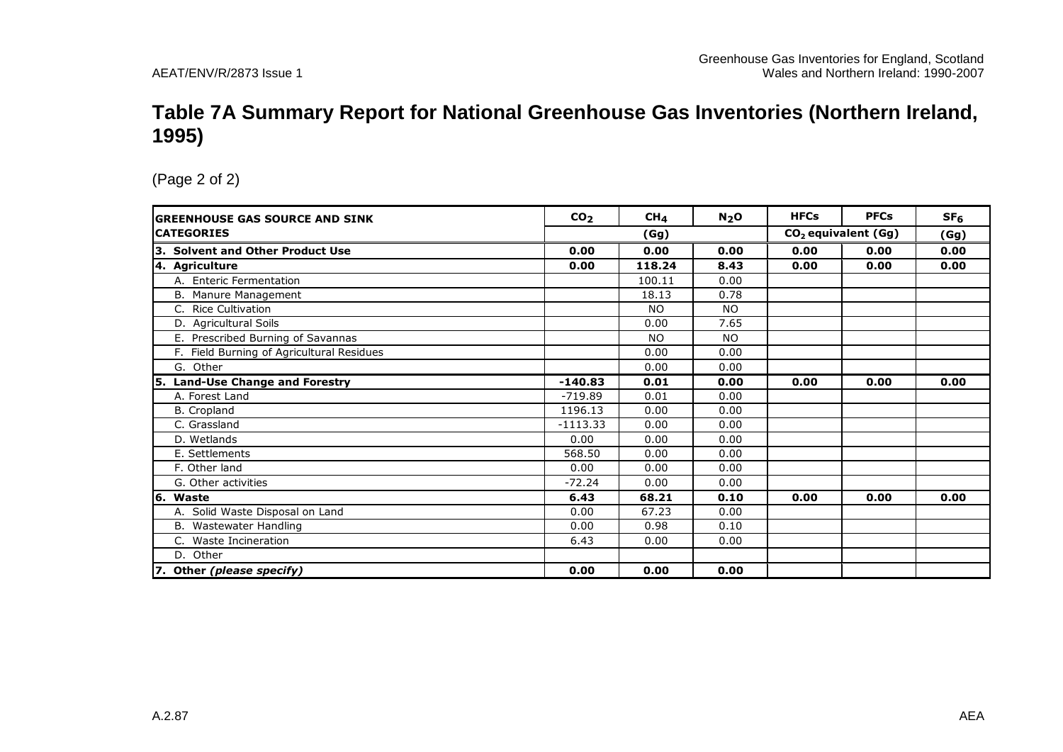#### **Table 7A Summary Report for National Greenhouse Gas Inventories (Northern Ireland, 1995)**

| <b>GREENHOUSE GAS SOURCE AND SINK</b>     | CO <sub>2</sub> | CH <sub>4</sub> | N <sub>2</sub> O | <b>HFCs</b> | <b>PFCs</b>           | SF <sub>6</sub> |
|-------------------------------------------|-----------------|-----------------|------------------|-------------|-----------------------|-----------------|
| <b>CATEGORIES</b>                         |                 | (Gg)            |                  |             | $CO2$ equivalent (Gg) | (Gg)            |
| 3. Solvent and Other Product Use          | 0.00            | 0.00            | 0.00             | 0.00        | 0.00                  | 0.00            |
| 4. Agriculture                            | 0.00            | 118.24          | 8.43             | 0.00        | 0.00                  | 0.00            |
| A. Enteric Fermentation                   |                 | 100.11          | 0.00             |             |                       |                 |
| B. Manure Management                      |                 | 18.13           | 0.78             |             |                       |                 |
| <b>Rice Cultivation</b><br>C.             |                 | NO.             | <b>NO</b>        |             |                       |                 |
| D. Agricultural Soils                     |                 | 0.00            | 7.65             |             |                       |                 |
| Prescribed Burning of Savannas<br>Е.      |                 | NO.             | <b>NO</b>        |             |                       |                 |
| F. Field Burning of Agricultural Residues |                 | 0.00            | 0.00             |             |                       |                 |
| G. Other                                  |                 | 0.00            | 0.00             |             |                       |                 |
| 5. Land-Use Change and Forestry           | $-140.83$       | 0.01            | 0.00             | 0.00        | 0.00                  | 0.00            |
| A. Forest Land                            | $-719.89$       | 0.01            | 0.00             |             |                       |                 |
| <b>B.</b> Cropland                        | 1196.13         | 0.00            | 0.00             |             |                       |                 |
| C. Grassland                              | $-1113.33$      | 0.00            | 0.00             |             |                       |                 |
| D. Wetlands                               | 0.00            | 0.00            | 0.00             |             |                       |                 |
| E. Settlements                            | 568.50          | 0.00            | 0.00             |             |                       |                 |
| F. Other land                             | 0.00            | 0.00            | 0.00             |             |                       |                 |
| G. Other activities                       | $-72.24$        | 0.00            | 0.00             |             |                       |                 |
| 6. Waste                                  | 6.43            | 68.21           | 0.10             | 0.00        | 0.00                  | 0.00            |
| A. Solid Waste Disposal on Land           | 0.00            | 67.23           | 0.00             |             |                       |                 |
| Wastewater Handling<br>В.                 | 0.00            | 0.98            | 0.10             |             |                       |                 |
| C. Waste Incineration                     | 6.43            | 0.00            | 0.00             |             |                       |                 |
| D. Other                                  |                 |                 |                  |             |                       |                 |
| 7. Other (please specify)                 | 0.00            | 0.00            | 0.00             |             |                       |                 |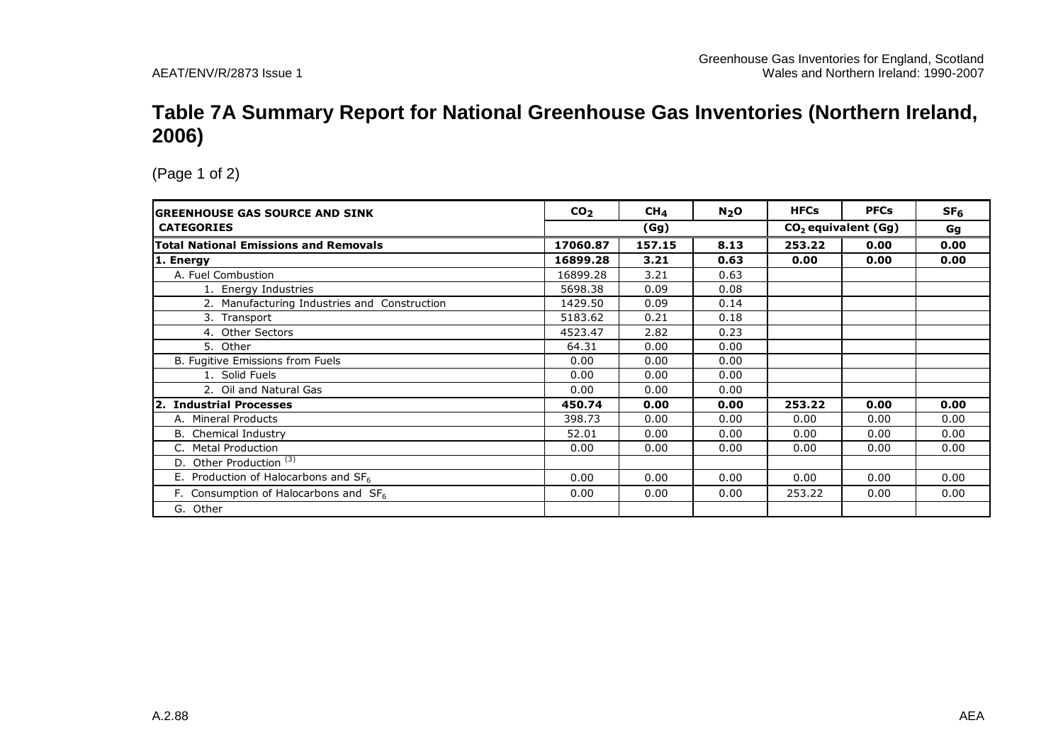#### **Table 7A Summary Report for National Greenhouse Gas Inventories (Northern Ireland, 2006)**

| <b>GREENHOUSE GAS SOURCE AND SINK</b>            | CO <sub>2</sub> | CH <sub>4</sub> | N <sub>2</sub> O | <b>HFCs</b> | <b>PFCs</b>           | SF <sub>6</sub> |
|--------------------------------------------------|-----------------|-----------------|------------------|-------------|-----------------------|-----------------|
| <b>CATEGORIES</b>                                |                 | (Gg)            |                  |             | $CO2$ equivalent (Gg) | Gg              |
| <b>Total National Emissions and Removals</b>     | 17060.87        | 157.15          | 8.13             | 253.22      | 0.00                  | 0.00            |
| 1. Energy                                        | 16899.28        | 3.21            | 0.63             | 0.00        | 0.00                  | 0.00            |
| A. Fuel Combustion                               | 16899.28        | 3.21            | 0.63             |             |                       |                 |
| 1. Energy Industries                             | 5698.38         | 0.09            | 0.08             |             |                       |                 |
| 2. Manufacturing Industries and Construction     | 1429.50         | 0.09            | 0.14             |             |                       |                 |
| 3. Transport                                     | 5183.62         | 0.21            | 0.18             |             |                       |                 |
| 4. Other Sectors                                 | 4523.47         | 2.82            | 0.23             |             |                       |                 |
| 5. Other                                         | 64.31           | 0.00            | 0.00             |             |                       |                 |
| B. Fugitive Emissions from Fuels                 | 0.00            | 0.00            | 0.00             |             |                       |                 |
| 1. Solid Fuels                                   | 0.00            | 0.00            | 0.00             |             |                       |                 |
| 2. Oil and Natural Gas                           | 0.00            | 0.00            | 0.00             |             |                       |                 |
| 2. Industrial Processes                          | 450.74          | 0.00            | 0.00             | 253.22      | 0.00                  | 0.00            |
| A. Mineral Products                              | 398.73          | 0.00            | 0.00             | 0.00        | 0.00                  | 0.00            |
| B. Chemical Industry                             | 52.01           | 0.00            | 0.00             | 0.00        | 0.00                  | 0.00            |
| C. Metal Production                              | 0.00            | 0.00            | 0.00             | 0.00        | 0.00                  | 0.00            |
| Other Production <sup>(3)</sup><br>D.            |                 |                 |                  |             |                       |                 |
| E. Production of Halocarbons and SF <sub>6</sub> | 0.00            | 0.00            | 0.00             | 0.00        | 0.00                  | 0.00            |
| F. Consumption of Halocarbons and $SF6$          | 0.00            | 0.00            | 0.00             | 253.22      | 0.00                  | 0.00            |
| G. Other                                         |                 |                 |                  |             |                       |                 |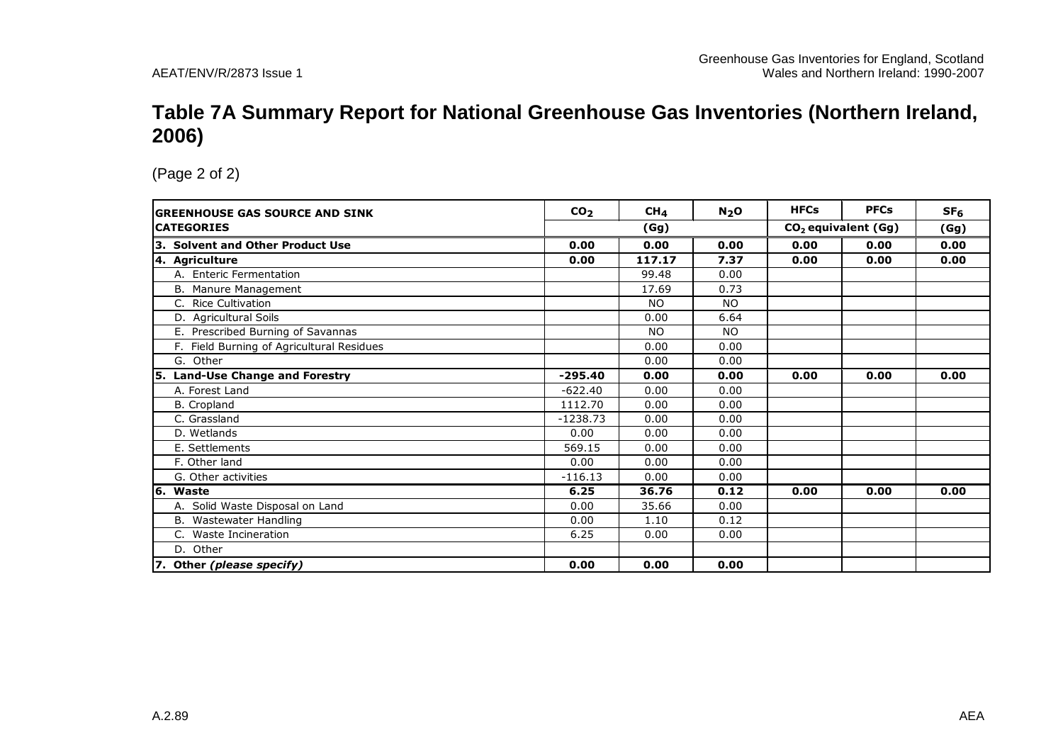#### **Table 7A Summary Report for National Greenhouse Gas Inventories (Northern Ireland, 2006)**

| <b>GREENHOUSE GAS SOURCE AND SINK</b>     | CO <sub>2</sub> | CH <sub>4</sub> | $N2$ O    | <b>HFCs</b> | <b>PFCs</b>           | SF <sub>6</sub> |
|-------------------------------------------|-----------------|-----------------|-----------|-------------|-----------------------|-----------------|
| <b>CATEGORIES</b>                         | (Gg)            |                 |           |             | $CO2$ equivalent (Gg) | (Gg)            |
| 3. Solvent and Other Product Use          | 0.00            | 0.00            | 0.00      | 0.00        | 0.00                  | 0.00            |
| 4. Agriculture                            | 0.00            | 117.17          | 7.37      | 0.00        | 0.00                  | 0.00            |
| A. Enteric Fermentation                   |                 | 99.48           | 0.00      |             |                       |                 |
| B. Manure Management                      |                 | 17.69           | 0.73      |             |                       |                 |
| C. Rice Cultivation                       |                 | N <sub>O</sub>  | <b>NO</b> |             |                       |                 |
| D. Agricultural Soils                     |                 | 0.00            | 6.64      |             |                       |                 |
| E. Prescribed Burning of Savannas         |                 | <b>NO</b>       | <b>NO</b> |             |                       |                 |
| F. Field Burning of Agricultural Residues |                 | 0.00            | 0.00      |             |                       |                 |
| G. Other                                  |                 | 0.00            | 0.00      |             |                       |                 |
| <b>Land-Use Change and Forestry</b><br>5. | $-295.40$       | 0.00            | 0.00      | 0.00        | 0.00                  | 0.00            |
| A. Forest Land                            | $-622.40$       | 0.00            | 0.00      |             |                       |                 |
| <b>B.</b> Cropland                        | 1112.70         | 0.00            | 0.00      |             |                       |                 |
| C. Grassland                              | $-1238.73$      | 0.00            | 0.00      |             |                       |                 |
| D. Wetlands                               | 0.00            | 0.00            | 0.00      |             |                       |                 |
| E. Settlements                            | 569.15          | 0.00            | 0.00      |             |                       |                 |
| F. Other land                             | 0.00            | 0.00            | 0.00      |             |                       |                 |
| G. Other activities                       | $-116.13$       | 0.00            | 0.00      |             |                       |                 |
| 6. Waste                                  | 6.25            | 36.76           | 0.12      | 0.00        | 0.00                  | 0.00            |
| A. Solid Waste Disposal on Land           | 0.00            | 35.66           | 0.00      |             |                       |                 |
| B. Wastewater Handling                    | 0.00            | 1.10            | 0.12      |             |                       |                 |
| C. Waste Incineration                     | 6.25            | 0.00            | 0.00      |             |                       |                 |
| D. Other                                  |                 |                 |           |             |                       |                 |
| 7. Other (please specify)                 | 0.00            | 0.00            | 0.00      |             |                       |                 |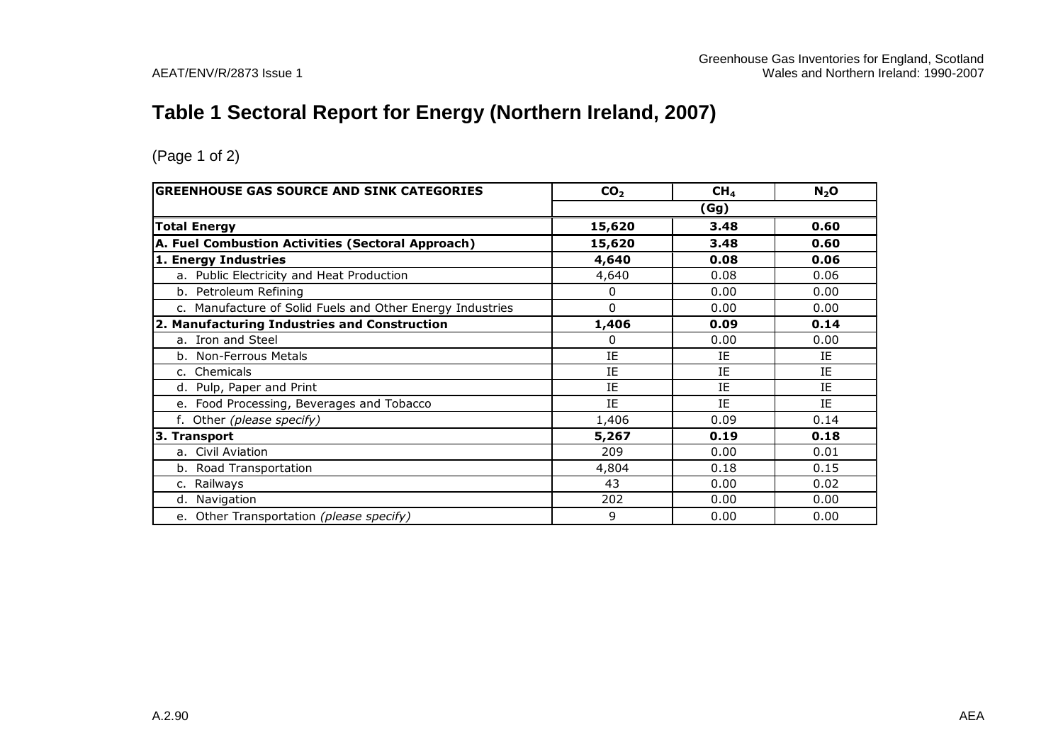# **Table 1 Sectoral Report for Energy (Northern Ireland, 2007)**

| <b>GREENHOUSE GAS SOURCE AND SINK CATEGORIES</b>          | CO <sub>2</sub> | CH <sub>4</sub> | $N_2$ O   |
|-----------------------------------------------------------|-----------------|-----------------|-----------|
|                                                           |                 | (Gg)            |           |
| <b>Total Energy</b>                                       | 15,620          | 3.48            | 0.60      |
| A. Fuel Combustion Activities (Sectoral Approach)         | 15,620          | 3.48            | 0.60      |
| 1. Energy Industries                                      | 4,640           | 0.08            | 0.06      |
| a. Public Electricity and Heat Production                 | 4,640           | 0.08            | 0.06      |
| b. Petroleum Refining                                     | 0               | 0.00            | 0.00      |
| c. Manufacture of Solid Fuels and Other Energy Industries | 0               | 0.00            | 0.00      |
| 2. Manufacturing Industries and Construction              | 1,406           | 0.09            | 0.14      |
| a. Iron and Steel                                         | 0               | 0.00            | 0.00      |
| b. Non-Ferrous Metals                                     | IE              | IE              | IE        |
| c. Chemicals                                              | ΙE              | IE              | IE        |
| d. Pulp, Paper and Print                                  | IE              | IE              | IE        |
| e. Food Processing, Beverages and Tobacco                 | IE              | <b>IF</b>       | <b>TF</b> |
| f. Other (please specify)                                 | 1,406           | 0.09            | 0.14      |
| 3. Transport                                              | 5,267           | 0.19            | 0.18      |
| a. Civil Aviation                                         | 209             | 0.00            | 0.01      |
| b. Road Transportation                                    | 4,804           | 0.18            | 0.15      |
| Railways                                                  | 43              | 0.00            | 0.02      |
| d. Navigation                                             | 202             | 0.00            | 0.00      |
| e. Other Transportation (please specify)                  | 9               | 0.00            | 0.00      |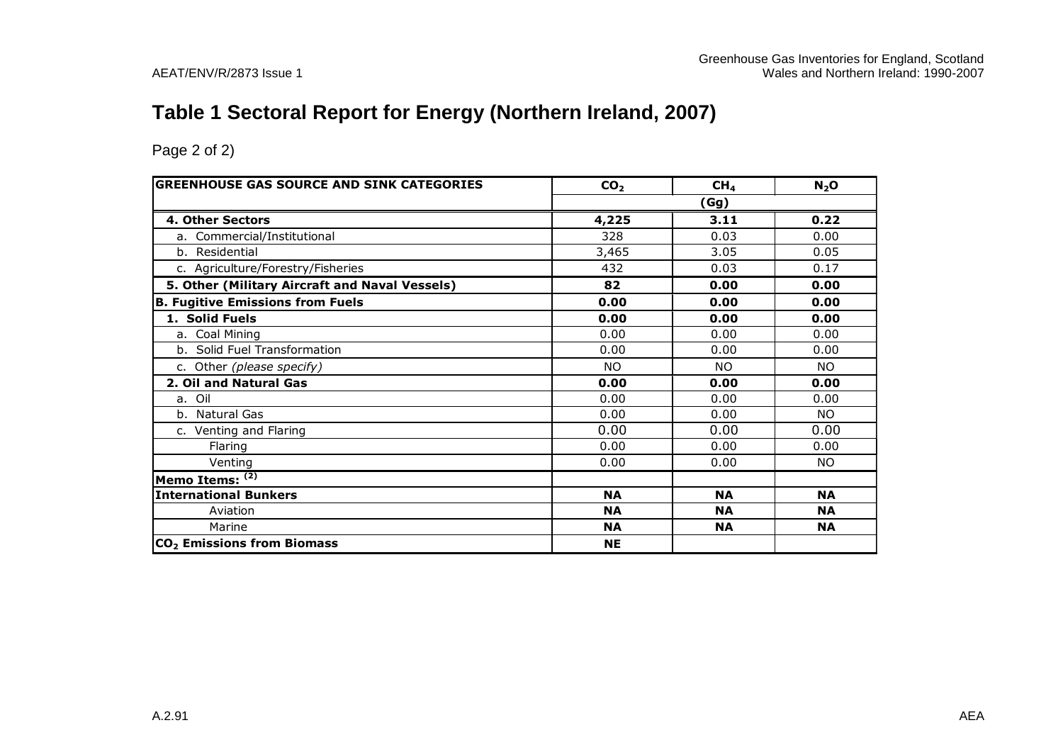# **Table 1 Sectoral Report for Energy (Northern Ireland, 2007)**

| <b>GREENHOUSE GAS SOURCE AND SINK CATEGORIES</b> | CO <sub>2</sub> | CH <sub>4</sub> | N <sub>2</sub> O |
|--------------------------------------------------|-----------------|-----------------|------------------|
|                                                  |                 | (Gg)            |                  |
| 4. Other Sectors                                 | 4,225           | 3.11            | 0.22             |
| a. Commercial/Institutional                      | 328             | 0.03            | 0.00             |
| b. Residential                                   | 3,465           | 3.05            | 0.05             |
| c. Agriculture/Forestry/Fisheries                | 432             | 0.03            | 0.17             |
| 5. Other (Military Aircraft and Naval Vessels)   | 82              | 0.00            | 0.00             |
| <b>B. Fugitive Emissions from Fuels</b>          | 0.00            | 0.00            | 0.00             |
| 1. Solid Fuels                                   | 0.00            | 0.00            | 0.00             |
| a. Coal Mining                                   | 0.00            | 0.00            | 0.00             |
| b. Solid Fuel Transformation                     | 0.00            | 0.00            | 0.00             |
| c. Other (please specify)                        | <b>NO</b>       | <b>NO</b>       | <b>NO</b>        |
| 2. Oil and Natural Gas                           | 0.00            | 0.00            | 0.00             |
| a. Oil                                           | 0.00            | 0.00            | 0.00             |
| b. Natural Gas                                   | 0.00            | 0.00            | NO.              |
| c. Venting and Flaring                           | 0.00            | 0.00            | 0.00             |
| Flaring                                          | 0.00            | 0.00            | 0.00             |
| Venting                                          | 0.00            | 0.00            | NO.              |
| Memo Items: $(2)$                                |                 |                 |                  |
| <b>International Bunkers</b>                     | <b>NA</b>       | <b>NA</b>       | <b>NA</b>        |
| Aviation                                         | <b>NA</b>       | <b>NA</b>       | <b>NA</b>        |
| Marine                                           | <b>NA</b>       | <b>NA</b>       | <b>NA</b>        |
| CO <sub>2</sub> Emissions from Biomass           | <b>NE</b>       |                 |                  |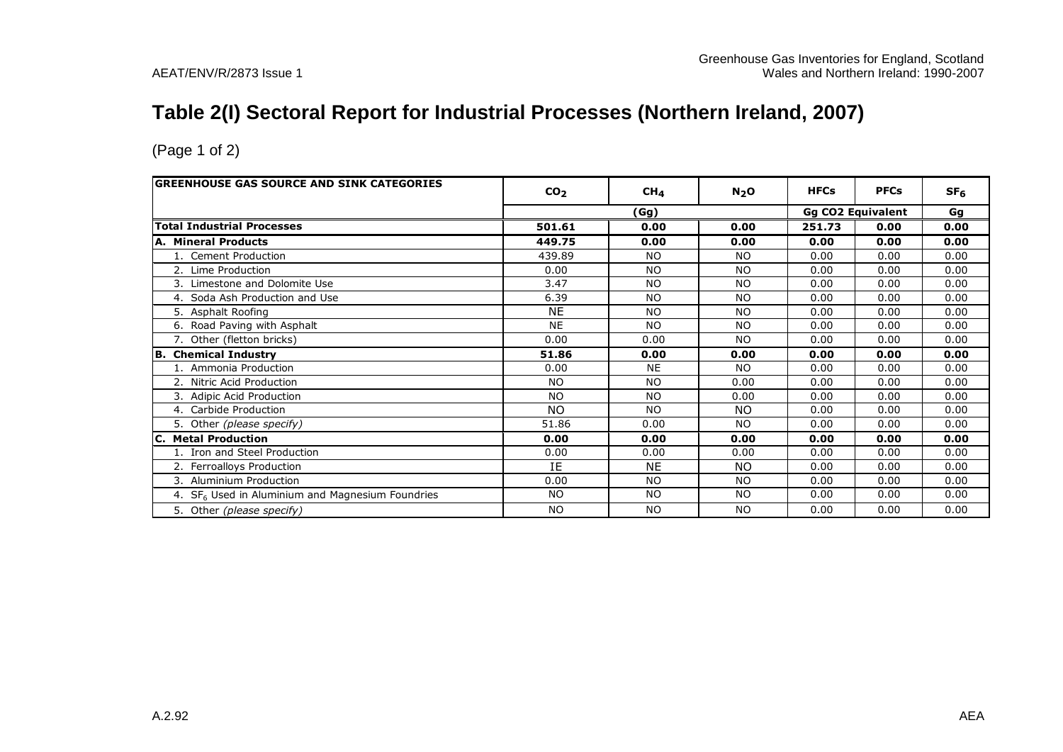# **Table 2(I) Sectoral Report for Industrial Processes (Northern Ireland, 2007)**

| <b>GREENHOUSE GAS SOURCE AND SINK CATEGORIES</b>             | CO <sub>2</sub> | CH <sub>4</sub> | $N_2$ O   | <b>HFCs</b> | <b>PFCs</b>              | SF <sub>6</sub> |
|--------------------------------------------------------------|-----------------|-----------------|-----------|-------------|--------------------------|-----------------|
|                                                              |                 | (Gg)            |           |             | <b>Gg CO2 Equivalent</b> | Gg              |
| <b>Total Industrial Processes</b>                            | 501.61          | 0.00            | 0.00      | 251.73      | 0.00                     | 0.00            |
| <b>A. Mineral Products</b>                                   | 449.75          | 0.00            | 0.00      | 0.00        | 0.00                     | 0.00            |
| 1. Cement Production                                         | 439.89          | NO.             | NO.       | 0.00        | 0.00                     | 0.00            |
| 2. Lime Production                                           | 0.00            | <b>NO</b>       | <b>NO</b> | 0.00        | 0.00                     | 0.00            |
| 3. Limestone and Dolomite Use                                | 3.47            | <b>NO</b>       | <b>NO</b> | 0.00        | 0.00                     | 0.00            |
| 4. Soda Ash Production and Use                               | 6.39            | <b>NO</b>       | <b>NO</b> | 0.00        | 0.00                     | 0.00            |
| 5. Asphalt Roofing                                           | <b>NE</b>       | <b>NO</b>       | <b>NO</b> | 0.00        | 0.00                     | 0.00            |
| 6. Road Paving with Asphalt                                  | <b>NE</b>       | <b>NO</b>       | <b>NO</b> | 0.00        | 0.00                     | 0.00            |
| 7. Other (fletton bricks)                                    | 0.00            | 0.00            | <b>NO</b> | 0.00        | 0.00                     | 0.00            |
| <b>B.</b> Chemical Industry                                  | 51.86           | 0.00            | 0.00      | 0.00        | 0.00                     | 0.00            |
| 1. Ammonia Production                                        | 0.00            | <b>NE</b>       | <b>NO</b> | 0.00        | 0.00                     | 0.00            |
| 2. Nitric Acid Production                                    | <b>NO</b>       | <b>NO</b>       | 0.00      | 0.00        | 0.00                     | 0.00            |
| 3. Adipic Acid Production                                    | <b>NO</b>       | <b>NO</b>       | 0.00      | 0.00        | 0.00                     | 0.00            |
| 4. Carbide Production                                        | NO.             | <b>NO</b>       | NO.       | 0.00        | 0.00                     | 0.00            |
| 5. Other (please specify)                                    | 51.86           | 0.00            | <b>NO</b> | 0.00        | 0.00                     | 0.00            |
| <b>C. Metal Production</b>                                   | 0.00            | 0.00            | 0.00      | 0.00        | 0.00                     | 0.00            |
| 1. Iron and Steel Production                                 | 0.00            | 0.00            | 0.00      | 0.00        | 0.00                     | 0.00            |
| 2. Ferroalloys Production                                    | IE              | <b>NE</b>       | NO.       | 0.00        | 0.00                     | 0.00            |
| 3. Aluminium Production                                      | 0.00            | <b>NO</b>       | <b>NO</b> | 0.00        | 0.00                     | 0.00            |
| 4. SF <sub>6</sub> Used in Aluminium and Magnesium Foundries | <b>NO</b>       | NO.             | NO.       | 0.00        | 0.00                     | 0.00            |
| 5. Other (please specify)                                    | <b>NO</b>       | <b>NO</b>       | <b>NO</b> | 0.00        | 0.00                     | 0.00            |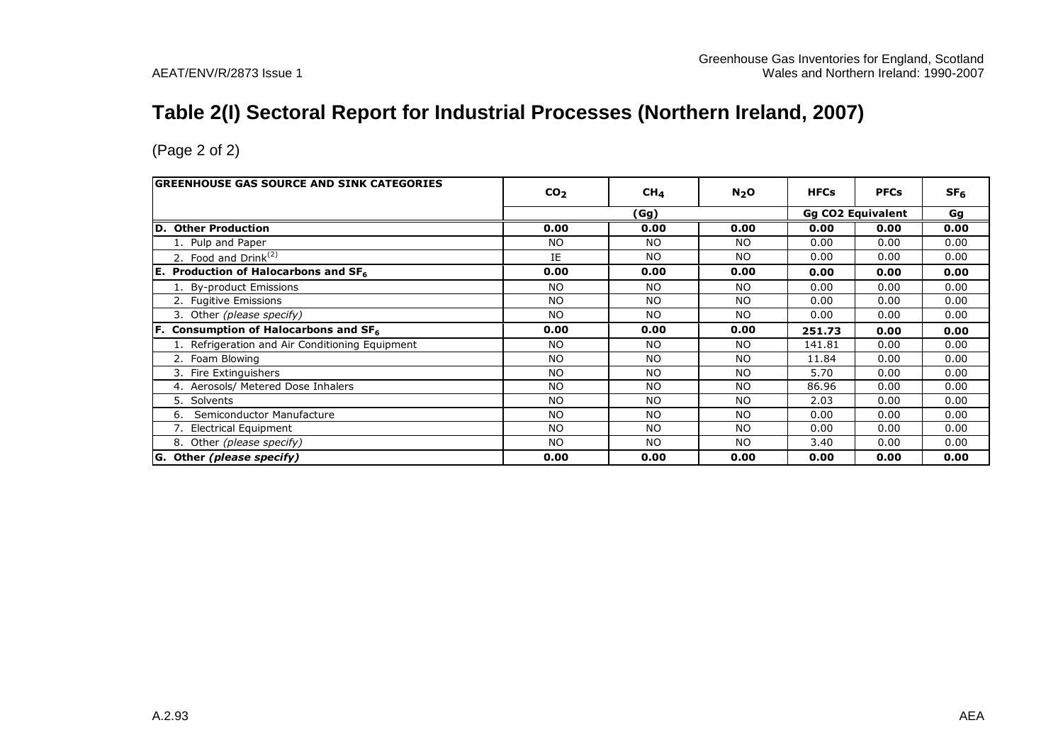# **Table 2(I) Sectoral Report for Industrial Processes (Northern Ireland, 2007)**

| <b>GREENHOUSE GAS SOURCE AND SINK CATEGORIES</b>      | CO <sub>2</sub> | CH <sub>4</sub> | N <sub>2</sub> O | <b>HFCs</b> | <b>PFCs</b>              | SF <sub>6</sub> |
|-------------------------------------------------------|-----------------|-----------------|------------------|-------------|--------------------------|-----------------|
|                                                       |                 | (Gg)            |                  |             | <b>Gg CO2 Equivalent</b> | Gg              |
| <b>Other Production</b><br>ID.                        | 0.00            | 0.00            | 0.00             | 0.00        | 0.00                     | 0.00            |
| 1. Pulp and Paper                                     | <b>NO</b>       | NO.             | NO.              | 0.00        | 0.00                     | 0.00            |
| 2. Food and $Drink(2)$                                | IE              | <b>NO</b>       | NO.              | 0.00        | 0.00                     | 0.00            |
| <b>E.</b> Production of Halocarbons and $SF6$         | 0.00            | 0.00            | 0.00             | 0.00        | 0.00                     | 0.00            |
| 1. By-product Emissions                               | NO.             | <b>NO</b>       | NO.              | 0.00        | 0.00                     | 0.00            |
| 2. Fugitive Emissions                                 | N <sub>O</sub>  | <b>NO</b>       | <b>NO</b>        | 0.00        | 0.00                     | 0.00            |
| 3. Other (please specify)                             | N <sub>O</sub>  | <b>NO</b>       | NO.              | 0.00        | 0.00                     | 0.00            |
| Consumption of Halocarbons and SF <sub>6</sub><br>IF. | 0.00            | 0.00            | 0.00             | 251.73      | 0.00                     | 0.00            |
| 1. Refrigeration and Air Conditioning Equipment       | NO.             | <b>NO</b>       | NO.              | 141.81      | 0.00                     | 0.00            |
| 2. Foam Blowing                                       | NO.             | <b>NO</b>       | NO.              | 11.84       | 0.00                     | 0.00            |
| 3. Fire Extinguishers                                 | <b>NO</b>       | <b>NO</b>       | <b>NO</b>        | 5.70        | 0.00                     | 0.00            |
| 4. Aerosols/ Metered Dose Inhalers                    | <b>NO</b>       | <b>NO</b>       | <b>NO</b>        | 86.96       | 0.00                     | 0.00            |
| 5.<br>Solvents                                        | N <sub>O</sub>  | <b>NO</b>       | NO.              | 2.03        | 0.00                     | 0.00            |
| Semiconductor Manufacture<br>6.                       | NO.             | <b>NO</b>       | NO.              | 0.00        | 0.00                     | 0.00            |
| 7. Electrical Equipment                               | NO.             | <b>NO</b>       | <b>NO</b>        | 0.00        | 0.00                     | 0.00            |
| 8. Other (please specify)                             | <b>NO</b>       | <b>NO</b>       | <b>NO</b>        | 3.40        | 0.00                     | 0.00            |
| G. Other (please specify)                             | 0.00            | 0.00            | 0.00             | 0.00        | 0.00                     | 0.00            |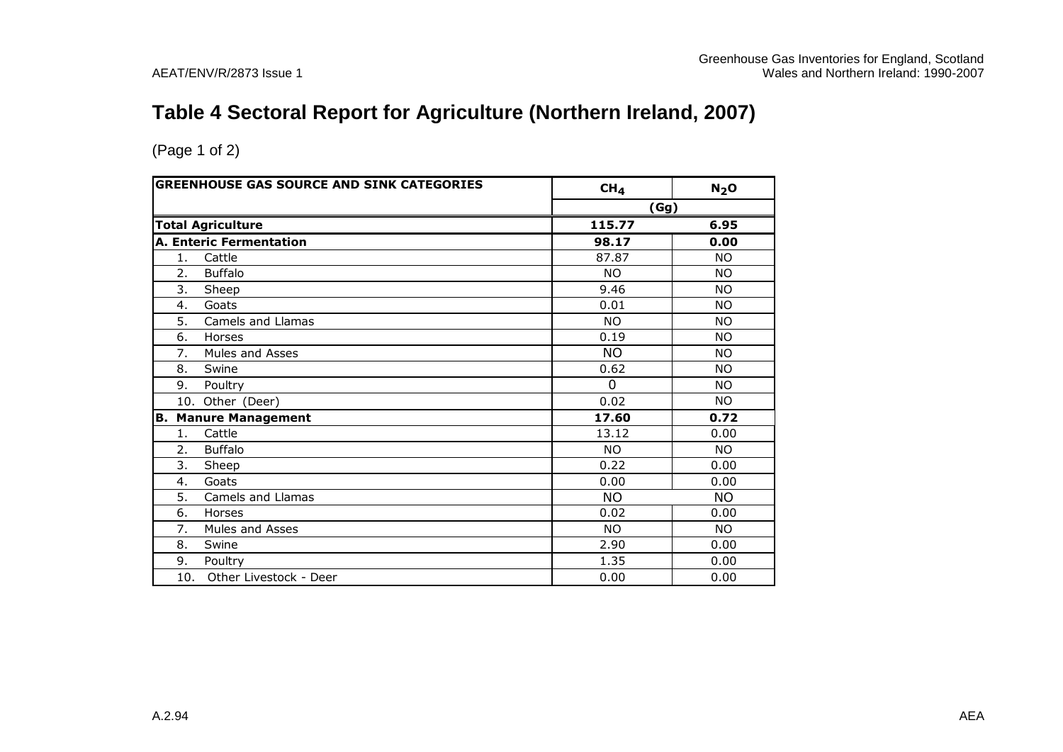# **Table 4 Sectoral Report for Agriculture (Northern Ireland, 2007)**

|     | <b>GREENHOUSE GAS SOURCE AND SINK CATEGORIES</b> | CH <sub>4</sub> | N <sub>2</sub> O |
|-----|--------------------------------------------------|-----------------|------------------|
|     |                                                  | (Gg)            |                  |
|     | <b>Total Agriculture</b>                         | 115.77          | 6.95             |
|     | <b>A. Enteric Fermentation</b>                   | 98.17           | 0.00             |
| 1.  | Cattle                                           | 87.87           | <b>NO</b>        |
| 2.  | <b>Buffalo</b>                                   | <b>NO</b>       | <b>NO</b>        |
| 3.  | Sheep                                            | 9.46            | <b>NO</b>        |
| 4.  | Goats                                            | 0.01            | <b>NO</b>        |
| 5.  | Camels and Llamas                                | <b>NO</b>       | <b>NO</b>        |
| 6.  | Horses                                           | 0.19            | <b>NO</b>        |
| 7.  | Mules and Asses                                  | <b>NO</b>       | <b>NO</b>        |
| 8.  | Swine                                            | 0.62            | <b>NO</b>        |
| 9.  | Poultry                                          | $\overline{0}$  | <b>NO</b>        |
|     | 10. Other (Deer)                                 | 0.02            | <b>NO</b>        |
| B.  | <b>Manure Management</b>                         | 17.60           | 0.72             |
| 1.  | Cattle                                           | 13.12           | 0.00             |
| 2.  | <b>Buffalo</b>                                   | <b>NO</b>       | <b>NO</b>        |
| 3.  | Sheep                                            | 0.22            | 0.00             |
| 4.  | Goats                                            | 0.00            | 0.00             |
| 5.  | Camels and Llamas                                | <b>NO</b>       | <b>NO</b>        |
| 6.  | Horses                                           | 0.02            | 0.00             |
| 7.  | Mules and Asses                                  | <b>NO</b>       | <b>NO</b>        |
| 8.  | Swine                                            | 2.90            | 0.00             |
| 9.  | Poultry                                          | 1.35            | 0.00             |
| 10. | Other Livestock - Deer                           | 0.00            | 0.00             |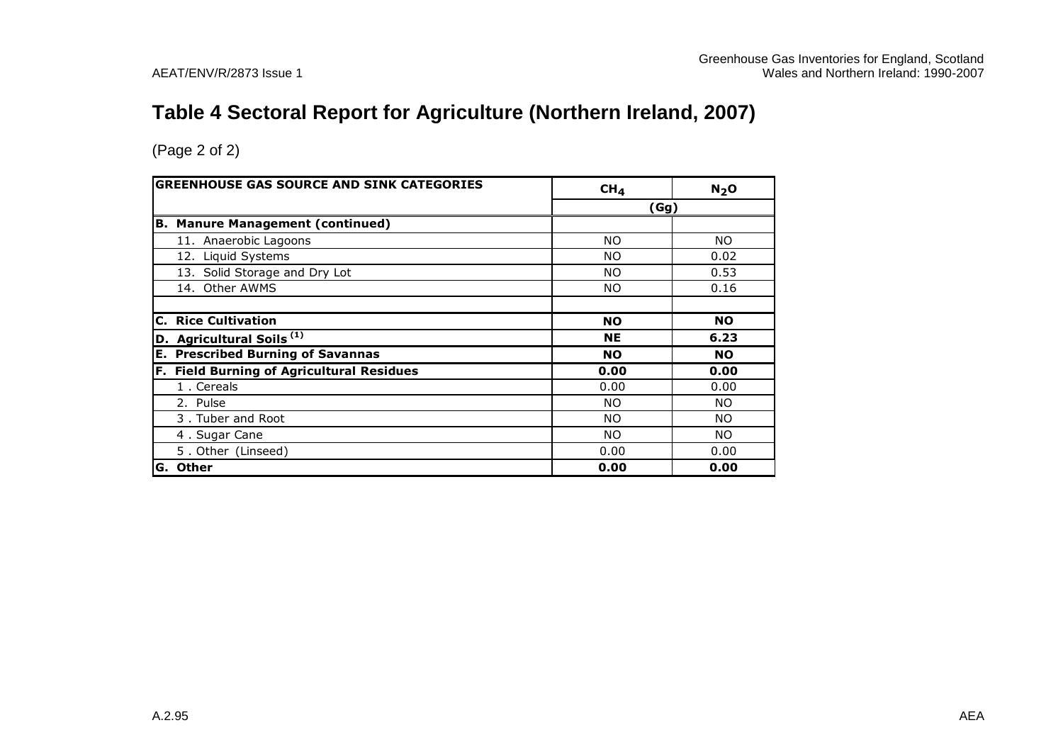# **Table 4 Sectoral Report for Agriculture (Northern Ireland, 2007)**

|    | <b>GREENHOUSE GAS SOURCE AND SINK CATEGORIES</b> | CH <sub>4</sub> | N <sub>2</sub> O |
|----|--------------------------------------------------|-----------------|------------------|
|    |                                                  | (Gg)            |                  |
|    | <b>B. Manure Management (continued)</b>          |                 |                  |
|    | 11. Anaerobic Lagoons                            | NO.             | NO.              |
|    | 12. Liquid Systems                               | NO.             | 0.02             |
|    | 13. Solid Storage and Dry Lot                    | NO.             | 0.53             |
|    | 14. Other AWMS                                   | NO.             | 0.16             |
|    |                                                  |                 |                  |
| С. | <b>Rice Cultivation</b>                          | <b>NO</b>       | <b>NO</b>        |
|    | D. Agricultural Soils <sup>(1)</sup>             | <b>NE</b>       | 6.23             |
|    | <b>E. Prescribed Burning of Savannas</b>         | <b>NO</b>       | <b>NO</b>        |
|    | F. Field Burning of Agricultural Residues        | 0.00            | 0.00             |
|    | 1. Cereals                                       | 0.00            | 0.00             |
|    | 2. Pulse                                         | NO.             | NO.              |
|    | 3. Tuber and Root                                | NO.             | NO.              |
|    | 4. Sugar Cane                                    | NO.             | NO.              |
|    | 5. Other (Linseed)                               | 0.00            | 0.00             |
|    | G. Other                                         | 0.00            | 0.00             |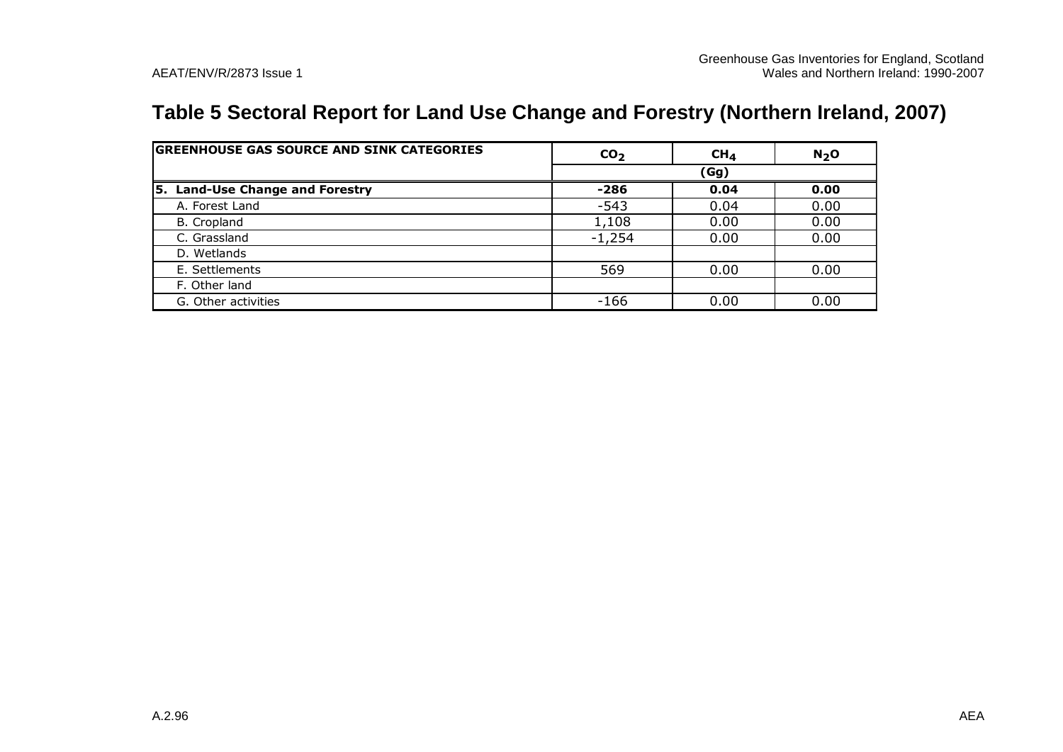# **Table 5 Sectoral Report for Land Use Change and Forestry (Northern Ireland, 2007)**

| <b>GREENHOUSE GAS SOURCE AND SINK CATEGORIES</b> | CO <sub>2</sub> | CH <sub>4</sub> | N <sub>2</sub> O |  |  |
|--------------------------------------------------|-----------------|-----------------|------------------|--|--|
|                                                  |                 | (Gg)            |                  |  |  |
| <b>Land-Use Change and Forestry</b><br>5.        | -286            | 0.04            | 0.00             |  |  |
| A. Forest Land                                   | $-543$          | 0.04            | 0.00             |  |  |
| B. Cropland                                      | 1,108           | 0.00            | 0.00             |  |  |
| C. Grassland                                     | $-1,254$        | 0.00            | 0.00             |  |  |
| D. Wetlands                                      |                 |                 |                  |  |  |
| E. Settlements                                   | 569             | 0.00            | 0.00             |  |  |
| F. Other land                                    |                 |                 |                  |  |  |
| G. Other activities                              | -166            | 0.00            | 0.00             |  |  |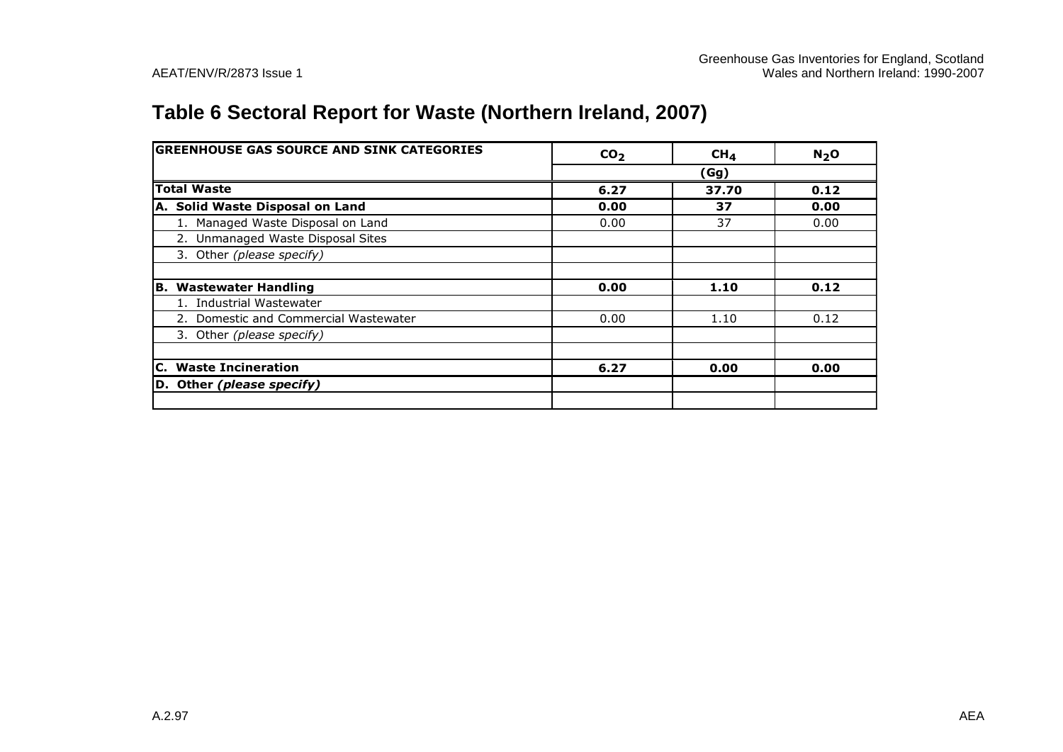# **Table 6 Sectoral Report for Waste (Northern Ireland, 2007)**

| <b>GREENHOUSE GAS SOURCE AND SINK CATEGORIES</b> | CO <sub>2</sub> | CH <sub>4</sub> | N <sub>2</sub> O |
|--------------------------------------------------|-----------------|-----------------|------------------|
|                                                  |                 | (Gg)            |                  |
| <b>Total Waste</b>                               | 6.27            | 37.70           | 0.12             |
| A. Solid Waste Disposal on Land                  | 0.00            | 37              | 0.00             |
| 1. Managed Waste Disposal on Land                | 0.00            | 37              | 0.00             |
| 2. Unmanaged Waste Disposal Sites                |                 |                 |                  |
| 3. Other (please specify)                        |                 |                 |                  |
|                                                  |                 |                 |                  |
| B. Wastewater Handling                           | 0.00            | 1.10            | 0.12             |
| 1. Industrial Wastewater                         |                 |                 |                  |
| 2. Domestic and Commercial Wastewater            | 0.00            | 1.10            | 0.12             |
| 3. Other (please specify)                        |                 |                 |                  |
|                                                  |                 |                 |                  |
| C. Waste Incineration                            | 6.27            | 0.00            | 0.00             |
| D. Other (please specify)                        |                 |                 |                  |
|                                                  |                 |                 |                  |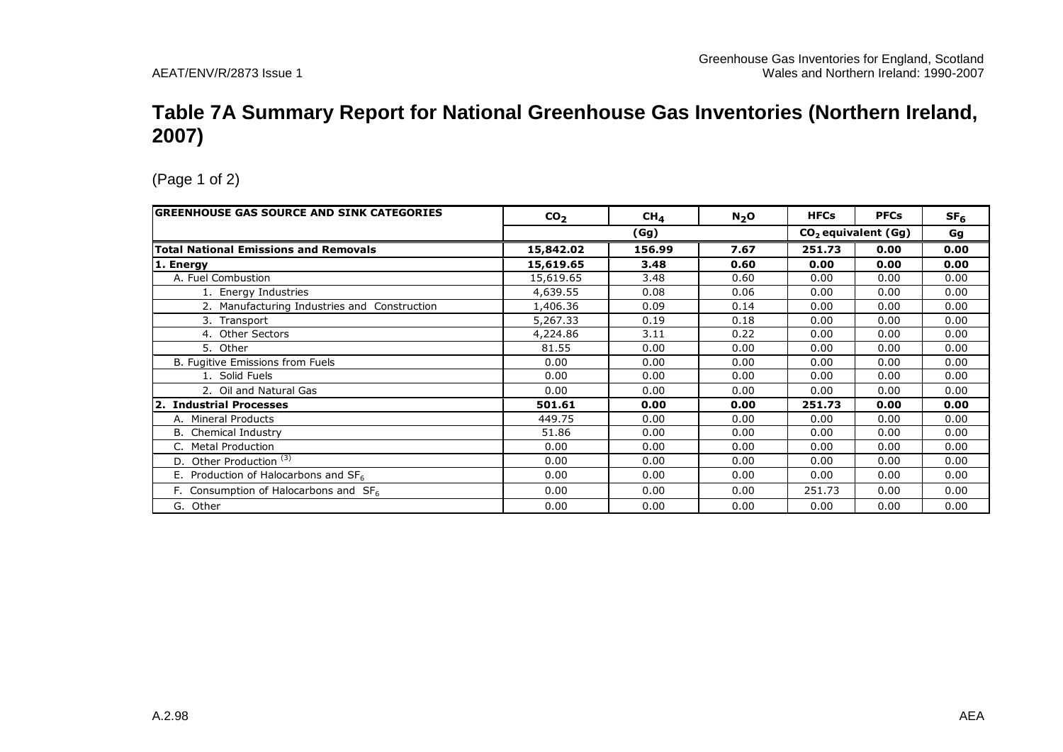#### **Table 7A Summary Report for National Greenhouse Gas Inventories (Northern Ireland, 2007)**

| <b>GREENHOUSE GAS SOURCE AND SINK CATEGORIES</b> | CO <sub>2</sub> | CH <sub>4</sub> | $N_2$ O | <b>HFCs</b> | <b>PFCs</b>                     | SF <sub>6</sub> |
|--------------------------------------------------|-----------------|-----------------|---------|-------------|---------------------------------|-----------------|
|                                                  |                 | (Gg)            |         |             | CO <sub>2</sub> equivalent (Gg) | Gg              |
| <b>Total National Emissions and Removals</b>     | 15,842.02       | 156.99          | 7.67    | 251.73      | 0.00                            | 0.00            |
| 1. Energy                                        | 15,619.65       | 3.48            | 0.60    | 0.00        | 0.00                            | 0.00            |
| A. Fuel Combustion                               | 15,619.65       | 3.48            | 0.60    | 0.00        | 0.00                            | 0.00            |
| 1. Energy Industries                             | 4,639.55        | 0.08            | 0.06    | 0.00        | 0.00                            | 0.00            |
| 2. Manufacturing Industries and Construction     | 1,406.36        | 0.09            | 0.14    | 0.00        | 0.00                            | 0.00            |
| 3. Transport                                     | 5,267.33        | 0.19            | 0.18    | 0.00        | 0.00                            | 0.00            |
| 4. Other Sectors                                 | 4,224.86        | 3.11            | 0.22    | 0.00        | 0.00                            | 0.00            |
| 5. Other                                         | 81.55           | 0.00            | 0.00    | 0.00        | 0.00                            | 0.00            |
| B. Fugitive Emissions from Fuels                 | 0.00            | 0.00            | 0.00    | 0.00        | 0.00                            | 0.00            |
| 1. Solid Fuels                                   | 0.00            | 0.00            | 0.00    | 0.00        | 0.00                            | 0.00            |
| 2. Oil and Natural Gas                           | 0.00            | 0.00            | 0.00    | 0.00        | 0.00                            | 0.00            |
| 2. Industrial Processes                          | 501.61          | 0.00            | 0.00    | 251.73      | 0.00                            | 0.00            |
| A. Mineral Products                              | 449.75          | 0.00            | 0.00    | 0.00        | 0.00                            | 0.00            |
| <b>B.</b> Chemical Industry                      | 51.86           | 0.00            | 0.00    | 0.00        | 0.00                            | 0.00            |
| C. Metal Production                              | 0.00            | 0.00            | 0.00    | 0.00        | 0.00                            | 0.00            |
| D. Other Production <sup>(3)</sup>               | 0.00            | 0.00            | 0.00    | 0.00        | 0.00                            | 0.00            |
| E. Production of Halocarbons and $SF6$           | 0.00            | 0.00            | 0.00    | 0.00        | 0.00                            | 0.00            |
| F. Consumption of Halocarbons and $SF6$          | 0.00            | 0.00            | 0.00    | 251.73      | 0.00                            | 0.00            |
| G. Other                                         | 0.00            | 0.00            | 0.00    | 0.00        | 0.00                            | 0.00            |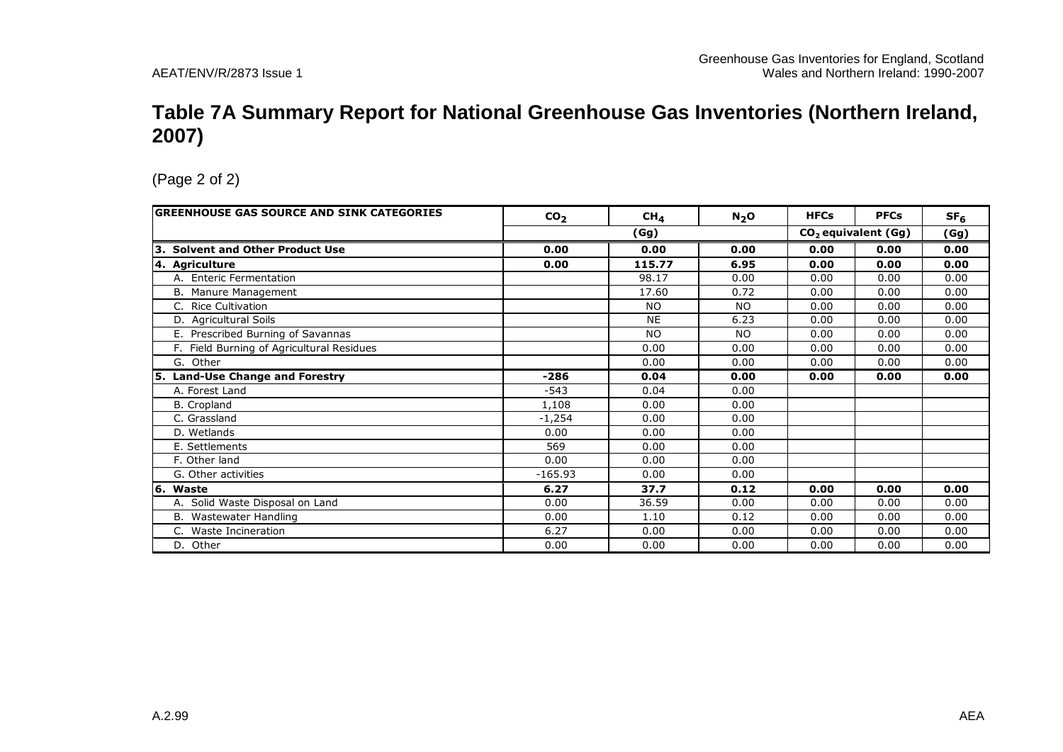#### **Table 7A Summary Report for National Greenhouse Gas Inventories (Northern Ireland, 2007)**

| <b>GREENHOUSE GAS SOURCE AND SINK CATEGORIES</b> | CO <sub>2</sub> | CH <sub>4</sub> | N <sub>2</sub> O | <b>HFCs</b> | <b>PFCs</b>                     | SF <sub>6</sub> |
|--------------------------------------------------|-----------------|-----------------|------------------|-------------|---------------------------------|-----------------|
|                                                  |                 | (Gg)            |                  |             | CO <sub>2</sub> equivalent (Gg) | (Gg)            |
| 3. Solvent and Other Product Use                 | 0.00            | 0.00            | 0.00             | 0.00        | 0.00                            | 0.00            |
| 4. Agriculture                                   | 0.00            | 115.77          | 6.95             | 0.00        | 0.00                            | 0.00            |
| A. Enteric Fermentation                          |                 | 98.17           | 0.00             | 0.00        | 0.00                            | 0.00            |
| B. Manure Management                             |                 | 17.60           | 0.72             | 0.00        | 0.00                            | 0.00            |
| C. Rice Cultivation                              |                 | <b>NO</b>       | <b>NO</b>        | 0.00        | 0.00                            | 0.00            |
| D. Agricultural Soils                            |                 | <b>NE</b>       | 6.23             | 0.00        | 0.00                            | 0.00            |
| E. Prescribed Burning of Savannas                |                 | <b>NO</b>       | <b>NO</b>        | 0.00        | 0.00                            | 0.00            |
| F. Field Burning of Agricultural Residues        |                 | 0.00            | 0.00             | 0.00        | 0.00                            | 0.00            |
| G. Other                                         |                 | 0.00            | 0.00             | 0.00        | 0.00                            | 0.00            |
| 5. Land-Use Change and Forestry                  | $-286$          | 0.04            | 0.00             | 0.00        | 0.00                            | 0.00            |
| A. Forest Land                                   | $-543$          | 0.04            | 0.00             |             |                                 |                 |
| <b>B.</b> Cropland                               | 1,108           | 0.00            | 0.00             |             |                                 |                 |
| C. Grassland                                     | $-1,254$        | 0.00            | 0.00             |             |                                 |                 |
| D. Wetlands                                      | 0.00            | 0.00            | 0.00             |             |                                 |                 |
| E. Settlements                                   | 569             | 0.00            | 0.00             |             |                                 |                 |
| F. Other land                                    | 0.00            | 0.00            | 0.00             |             |                                 |                 |
| G. Other activities                              | $-165.93$       | 0.00            | 0.00             |             |                                 |                 |
| 6. Waste                                         | 6.27            | 37.7            | 0.12             | 0.00        | 0.00                            | 0.00            |
| A. Solid Waste Disposal on Land                  | 0.00            | 36.59           | 0.00             | 0.00        | 0.00                            | 0.00            |
| B. Wastewater Handling                           | 0.00            | 1.10            | 0.12             | 0.00        | 0.00                            | 0.00            |
| C. Waste Incineration                            | 6.27            | 0.00            | 0.00             | 0.00        | 0.00                            | 0.00            |
| D. Other                                         | 0.00            | 0.00            | 0.00             | 0.00        | 0.00                            | 0.00            |